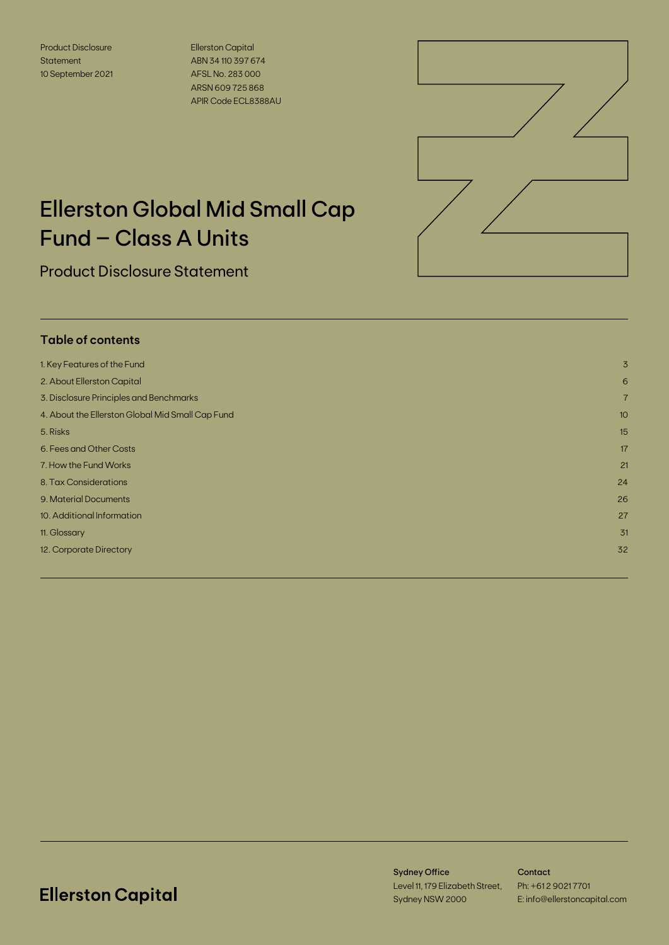Product Disclosure **Statement** 10 September 2021 Ellerston Capital ABN 34 110 397 674 AFSL No. 283 000 ARSN 609 725 868 APIR Code ECL8388AU



# Ellerston Global Mid Small Cap Fund – Class A Units

Product Disclosure Statement

# **Table of contents**

| 1. Key Features of the Fund                      | 3              |
|--------------------------------------------------|----------------|
| 2. About Ellerston Capital                       | 6              |
| 3. Disclosure Principles and Benchmarks          | $\overline{7}$ |
| 4. About the Ellerston Global Mid Small Cap Fund | 10             |
| 5. Risks                                         | 15             |
| 6. Fees and Other Costs                          | 17             |
| 7. How the Fund Works                            | 21             |
| 8. Tax Considerations                            | 24             |
| 9. Material Documents                            | 26             |
| 10. Additional Information                       | 27             |
| 11. Glossary                                     | 31             |
| 12. Corporate Directory                          | 32             |
|                                                  |                |

# **Ellerston Capital**

Sydney Office Level 11, 179 Elizabeth Street, Sydney NSW 2000

**Contact** Ph: +61 2 9021 7701 E: info@ellerstoncapital.com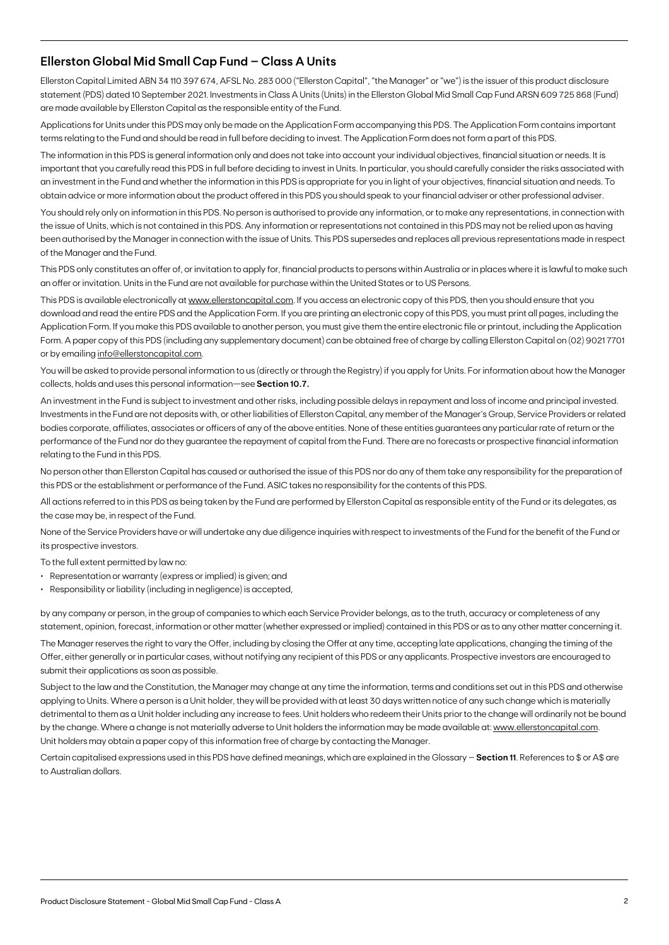# **Ellerston Global Mid Small Cap Fund – Class A Units**

Ellerston Capital Limited ABN 34 110 397 674, AFSL No. 283 000 ("Ellerston Capital", "the Manager" or "we") is the issuer of this product disclosure statement (PDS) dated 10 September 2021. Investments in Class A Units (Units) in the Ellerston Global Mid Small Cap Fund ARSN 609 725 868 (Fund) are made available by Ellerston Capital as the responsible entity of the Fund.

Applications for Units under this PDS may only be made on the Application Form accompanying this PDS. The Application Form contains important terms relating to the Fund and should be read in full before deciding to invest. The Application Form does not form a part of this PDS.

The information in this PDS is general information only and does not take into account your individual objectives, financial situation or needs. It is important that you carefully read this PDS in full before deciding to invest in Units. In particular, you should carefully consider the risks associated with an investment in the Fund and whether the information in this PDS is appropriate for you in light of your objectives, financial situation and needs. To obtain advice or more information about the product offered in this PDS you should speak to your financial adviser or other professional adviser.

You should rely only on information in this PDS. No person is authorised to provide any information, or to make any representations, in connection with the issue of Units, which is not contained in this PDS. Any information or representations not contained in this PDS may not be relied upon as having been authorised by the Manager in connection with the issue of Units. This PDS supersedes and replaces all previous representations made in respect of the Manager and the Fund.

This PDS only constitutes an offer of, or invitation to apply for, financial products to persons within Australia or in places where it is lawful to make such an offer or invitation. Units in the Fund are not available for purchase within the United States or to US Persons.

This PDS is available electronically at [www.ellerstoncapital.com.](http://www.ellerstoncapital.com) If you access an electronic copy of this PDS, then you should ensure that you download and read the entire PDS and the Application Form. If you are printing an electronic copy of this PDS, you must print all pages, including the Application Form. If you make this PDS available to another person, you must give them the entire electronic file or printout, including the Application Form. A paper copy of this PDS (including any supplementary document) can be obtained free of charge by calling Ellerston Capital on (02) 9021 7701 or by emailing [info@ellerstoncapital.com](mailto:info@ellerstoncapital.com).

You will be asked to provide personal information to us (directly or through the Registry) if you apply for Units. For information about how the Manager collects, holds and uses this personal information—see **Section 10.7.**

An investment in the Fund is subject to investment and other risks, including possible delays in repayment and loss of income and principal invested. Investments in the Fund are not deposits with, or other liabilities of Ellerston Capital, any member of the Manager's Group, Service Providers or related bodies corporate, affiliates, associates or officers of any of the above entities. None of these entities guarantees any particular rate of return or the performance of the Fund nor do they guarantee the repayment of capital from the Fund. There are no forecasts or prospective financial information relating to the Fund in this PDS.

No person other than Ellerston Capital has caused or authorised the issue of this PDS nor do any of them take any responsibility for the preparation of this PDS or the establishment or performance of the Fund. ASIC takes no responsibility for the contents of this PDS.

All actions referred to in this PDS as being taken by the Fund are performed by Ellerston Capital as responsible entity of the Fund or its delegates, as the case may be, in respect of the Fund.

None of the Service Providers have or will undertake any due diligence inquiries with respect to investments of the Fund for the benefit of the Fund or its prospective investors.

To the full extent permitted by law no:

- Representation or warranty (express or implied) is given; and
- Responsibility or liability (including in negligence) is accepted,

by any company or person, in the group of companies to which each Service Provider belongs, as to the truth, accuracy or completeness of any statement, opinion, forecast, information or other matter (whether expressed or implied) contained in this PDS or as to any other matter concerning it.

The Manager reserves the right to vary the Offer, including by closing the Offer at any time, accepting late applications, changing the timing of the Offer, either generally or in particular cases, without notifying any recipient of this PDS or any applicants. Prospective investors are encouraged to submit their applications as soon as possible.

Subject to the law and the Constitution, the Manager may change at any time the information, terms and conditions set out in this PDS and otherwise applying to Units. Where a person is a Unit holder, they will be provided with at least 30 days written notice of any such change which is materially detrimental to them as a Unit holder including any increase to fees. Unit holders who redeem their Units prior to the change will ordinarily not be bound by the change. Where a change is not materially adverse to Unit holders the information may be made available at: [www.ellerstoncapital.com](http://www.ellerstoncapital.com). Unit holders may obtain a paper copy of this information free of charge by contacting the Manager.

Certain capitalised expressions used in this PDS have defined meanings, which are explained in the Glossary – **Section 11**. References to \$ or A\$ are to Australian dollars.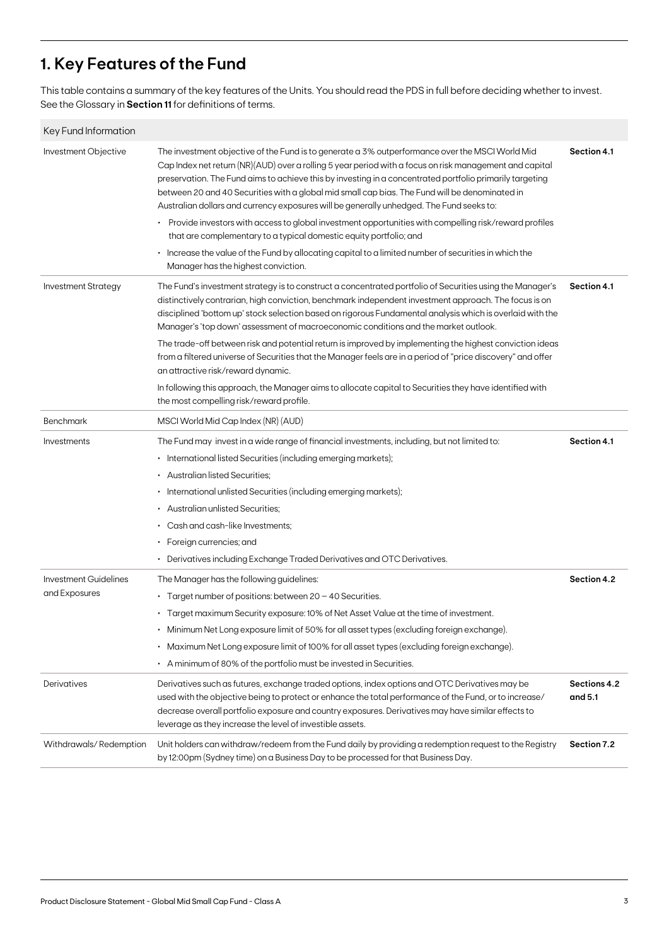# **1. Key Features of the Fund**

This table contains a summary of the key features of the Units. You should read the PDS in full before deciding whether to invest. See the Glossary in **Section 11** for definitions of terms.

| Key Fund Information         |                                                                                                                                                                                                                                                                                                                                                                                                                                                                                                                      |                         |
|------------------------------|----------------------------------------------------------------------------------------------------------------------------------------------------------------------------------------------------------------------------------------------------------------------------------------------------------------------------------------------------------------------------------------------------------------------------------------------------------------------------------------------------------------------|-------------------------|
| Investment Objective         | The investment objective of the Fund is to generate a 3% outperformance over the MSCI World Mid<br>Cap Index net return (NR)(AUD) over a rolling 5 year period with a focus on risk management and capital<br>preservation. The Fund aims to achieve this by investing in a concentrated portfolio primarily targeting<br>between 20 and 40 Securities with a global mid small cap bias. The Fund will be denominated in<br>Australian dollars and currency exposures will be generally unhedged. The Fund seeks to: | Section 4.1             |
|                              | • Provide investors with access to global investment opportunities with compelling risk/reward profiles<br>that are complementary to a typical domestic equity portfolio; and                                                                                                                                                                                                                                                                                                                                        |                         |
|                              | Increase the value of the Fund by allocating capital to a limited number of securities in which the<br>Manager has the highest conviction.                                                                                                                                                                                                                                                                                                                                                                           |                         |
| <b>Investment Strategy</b>   | The Fund's investment strategy is to construct a concentrated portfolio of Securities using the Manager's<br>distinctively contrarian, high conviction, benchmark independent investment approach. The focus is on<br>disciplined 'bottom up' stock selection based on rigorous Fundamental analysis which is overlaid with the<br>Manager's 'top down' assessment of macroeconomic conditions and the market outlook.                                                                                               | Section 4.1             |
|                              | The trade-off between risk and potential return is improved by implementing the highest conviction ideas<br>from a filtered universe of Securities that the Manager feels are in a period of "price discovery" and offer<br>an attractive risk/reward dynamic.                                                                                                                                                                                                                                                       |                         |
|                              | In following this approach, the Manager aims to allocate capital to Securities they have identified with<br>the most compelling risk/reward profile.                                                                                                                                                                                                                                                                                                                                                                 |                         |
| Benchmark                    | MSCI World Mid Cap Index (NR) (AUD)                                                                                                                                                                                                                                                                                                                                                                                                                                                                                  |                         |
| Investments                  | The Fund may invest in a wide range of financial investments, including, but not limited to:                                                                                                                                                                                                                                                                                                                                                                                                                         | Section 4.1             |
|                              | • International listed Securities (including emerging markets);                                                                                                                                                                                                                                                                                                                                                                                                                                                      |                         |
|                              | • Australian listed Securities;                                                                                                                                                                                                                                                                                                                                                                                                                                                                                      |                         |
|                              | • International unlisted Securities (including emerging markets);                                                                                                                                                                                                                                                                                                                                                                                                                                                    |                         |
|                              | • Australian unlisted Securities;                                                                                                                                                                                                                                                                                                                                                                                                                                                                                    |                         |
|                              | Cash and cash-like Investments;<br>٠.                                                                                                                                                                                                                                                                                                                                                                                                                                                                                |                         |
|                              | $\cdot$ Foreign currencies; and                                                                                                                                                                                                                                                                                                                                                                                                                                                                                      |                         |
|                              | Derivatives including Exchange Traded Derivatives and OTC Derivatives.                                                                                                                                                                                                                                                                                                                                                                                                                                               |                         |
| <b>Investment Guidelines</b> | The Manager has the following guidelines:                                                                                                                                                                                                                                                                                                                                                                                                                                                                            | Section 4.2             |
| and Exposures                | • Target number of positions: between 20 - 40 Securities.                                                                                                                                                                                                                                                                                                                                                                                                                                                            |                         |
|                              | · Target maximum Security exposure: 10% of Net Asset Value at the time of investment.                                                                                                                                                                                                                                                                                                                                                                                                                                |                         |
|                              | Minimum Net Long exposure limit of 50% for all asset types (excluding foreign exchange).                                                                                                                                                                                                                                                                                                                                                                                                                             |                         |
|                              | · Maximum Net Long exposure limit of 100% for all asset types (excluding foreign exchange).                                                                                                                                                                                                                                                                                                                                                                                                                          |                         |
|                              | • A minimum of 80% of the portfolio must be invested in Securities.                                                                                                                                                                                                                                                                                                                                                                                                                                                  |                         |
| Derivatives                  | Derivatives such as futures, exchange traded options, index options and OTC Derivatives may be<br>used with the objective being to protect or enhance the total performance of the Fund, or to increase/<br>decrease overall portfolio exposure and country exposures. Derivatives may have similar effects to<br>leverage as they increase the level of investible assets.                                                                                                                                          | Sections 4.2<br>and 5.1 |
| Withdrawals/Redemption       | Unit holders can withdraw/redeem from the Fund daily by providing a redemption request to the Registry<br>by 12:00pm (Sydney time) on a Business Day to be processed for that Business Day.                                                                                                                                                                                                                                                                                                                          | Section 7.2             |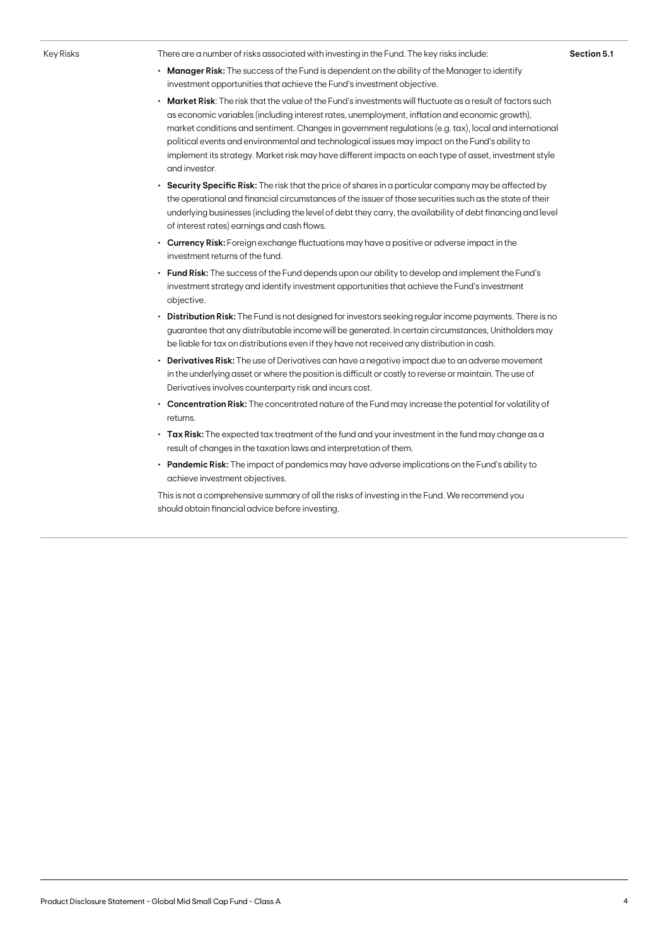Key Risks There are a number of risks associated with investing in the Fund. The key risks include:

- **• Manager Risk:** The success of the Fund is dependent on the ability of the Manager to identify investment opportunities that achieve the Fund's investment objective.
- **• Market Risk**: The risk that the value of the Fund's investments will fluctuate as a result of factors such as economic variables (including interest rates, unemployment, inflation and economic growth), market conditions and sentiment. Changes in government regulations (e.g. tax), local and international political events and environmental and technological issues may impact on the Fund's ability to implement its strategy. Market risk may have different impacts on each type of asset, investment style and investor.
- **• Security Specific Risk:** The risk that the price of shares in a particular company may be affected by the operational and financial circumstances of the issuer of those securities such as the state of their underlying businesses (including the level of debt they carry, the availability of debt financing and level of interest rates) earnings and cash flows.
- **• Currency Risk:** Foreign exchange fluctuations may have a positive or adverse impact in the investment returns of the fund.
- **• Fund Risk:** The success of the Fund depends upon our ability to develop and implement the Fund's investment strategy and identify investment opportunities that achieve the Fund's investment objective.
- **• Distribution Risk:** The Fund is not designed for investors seeking regular income payments. There is no guarantee that any distributable income will be generated. In certain circumstances, Unitholders may be liable for tax on distributions even if they have not received any distribution in cash.
- **• Derivatives Risk:** The use of Derivatives can have a negative impact due to an adverse movement in the underlying asset or where the position is difficult or costly to reverse or maintain. The use of Derivatives involves counterparty risk and incurs cost.
- **• Concentration Risk:** The concentrated nature of the Fund may increase the potential for volatility of returns.
- **• Tax Risk:** The expected tax treatment of the fund and your investment in the fund may change as a result of changes in the taxation laws and interpretation of them.
- **• Pandemic Risk:** The impact of pandemics may have adverse implications on the Fund's ability to achieve investment objectives.

This is not a comprehensive summary of all the risks of investing in the Fund. We recommend you should obtain financial advice before investing.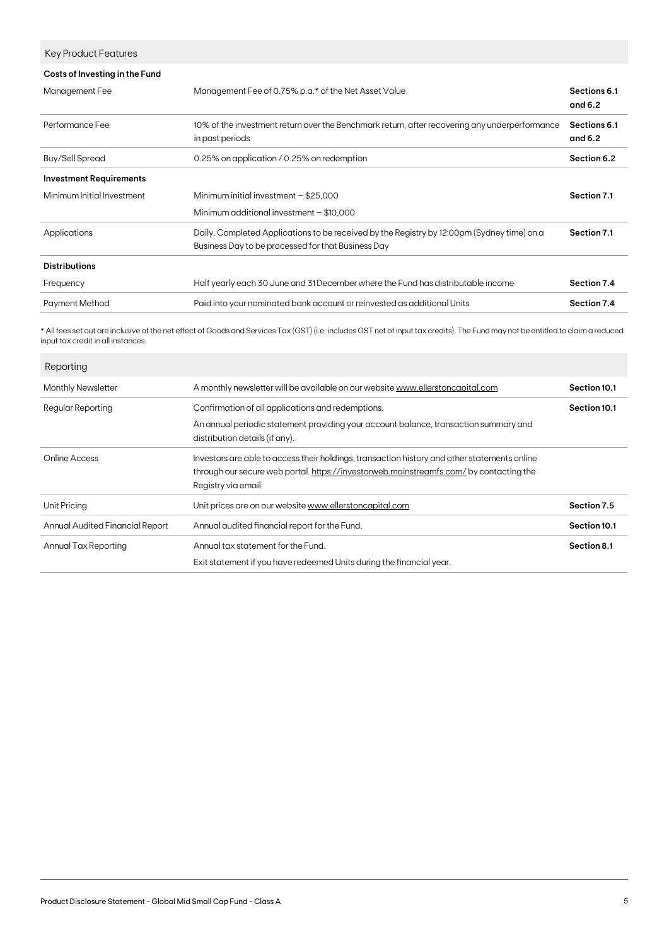| Key Product Features           |                                                                                                                                                  |                           |
|--------------------------------|--------------------------------------------------------------------------------------------------------------------------------------------------|---------------------------|
| Costs of Investing in the Fund |                                                                                                                                                  |                           |
| Management Fee                 | Management Fee of 0.75% p.a.* of the Net Asset Value                                                                                             | Sections 6.1<br>and $6.2$ |
| Performance Fee                | 10% of the investment return over the Benchmark return, after recovering any underperformance<br>in past periods                                 | Sections 6.1<br>and $6.2$ |
| <b>Buy/Sell Spread</b>         | 0.25% on application / 0.25% on redemption                                                                                                       | Section 6.2               |
| <b>Investment Requirements</b> |                                                                                                                                                  |                           |
| Minimum Initial Investment     | Minimum initial investment $-$ \$25,000                                                                                                          | Section 7.1               |
|                                | Minimum additional investment $-$ \$10,000                                                                                                       |                           |
| Applications                   | Daily. Completed Applications to be received by the Registry by 12:00pm (Sydney time) on a<br>Business Day to be processed for that Business Day | Section 7.1               |
| <b>Distributions</b>           |                                                                                                                                                  |                           |
| Frequency                      | Half yearly each 30 June and 31 December where the Fund has distributable income                                                                 | Section 7.4               |
| <b>Payment Method</b>          | Paid into your nominated bank account or reinvested as additional Units                                                                          | Section 7.4               |
|                                |                                                                                                                                                  |                           |

\* All fees set out are inclusive of the net effect of Goods and Services Tax (GST) (i.e. includes GST net of input tax credits). The Fund may not be entitled to claim a reduced input tax credit in all instances.

| Reporting                       |                                                                                                                                                                                                              |              |
|---------------------------------|--------------------------------------------------------------------------------------------------------------------------------------------------------------------------------------------------------------|--------------|
| Monthly Newsletter              | A monthly newsletter will be available on our website www.ellerstoncapital.com                                                                                                                               | Section 10.1 |
| Regular Reporting               | Confirmation of all applications and redemptions.<br>An annual periodic statement providing your account balance, transaction summary and<br>distribution details (if any).                                  | Section 10.1 |
| Online Access                   | Investors are able to access their holdings, transaction history and other statements online<br>through our secure web portal. https://investorweb.mainstreamfs.com/by contacting the<br>Registry via email. |              |
| Unit Pricing                    | Unit prices are on our website www.ellerstoncapital.com                                                                                                                                                      | Section 7.5  |
| Annual Audited Financial Report | Annual audited financial report for the Fund.                                                                                                                                                                | Section 10.1 |
| Annual Tax Reporting            | Annual tax statement for the Fund.<br>Exit statement if you have redeemed Units during the financial year.                                                                                                   | Section 8.1  |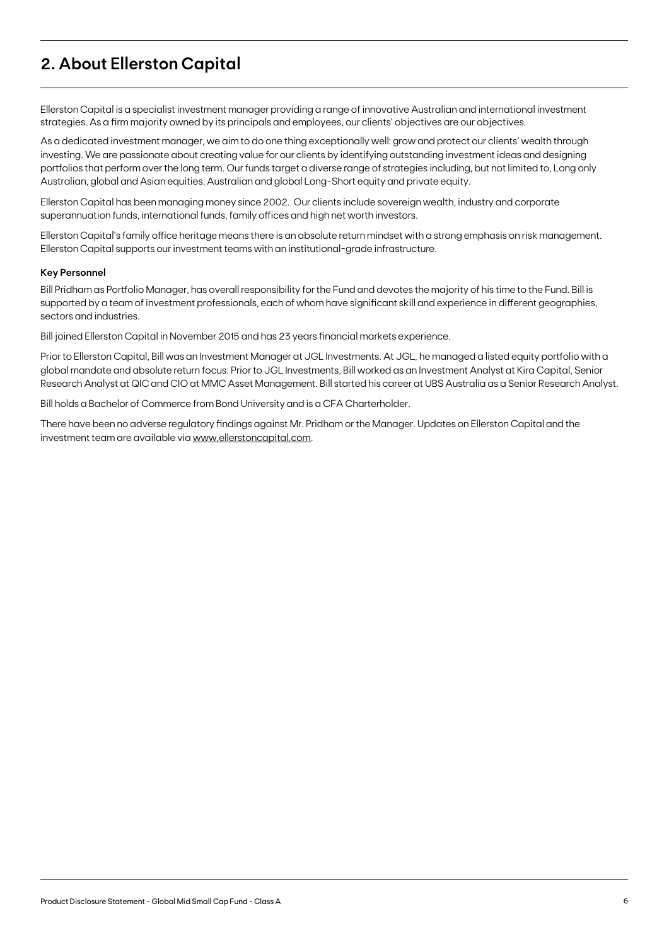# **2. About Ellerston Capital**

Ellerston Capital is a specialist investment manager providing a range of innovative Australian and international investment strategies. As a firm majority owned by its principals and employees, our clients' objectives are our objectives.

As a dedicated investment manager, we aim to do one thing exceptionally well: grow and protect our clients' wealth through investing. We are passionate about creating value for our clients by identifying outstanding investment ideas and designing portfolios that perform over the long term. Our funds target a diverse range of strategies including, but not limited to, Long only Australian, global and Asian equities, Australian and global Long-Short equity and private equity.

Ellerston Capital has been managing money since 2002. Our clients include sovereign wealth, industry and corporate superannuation funds, international funds, family offices and high net worth investors.

Ellerston Capital's family office heritage means there is an absolute return mindset with a strong emphasis on risk management. Ellerston Capital supports our investment teams with an institutional-grade infrastructure.

#### **Key Personnel**

Bill Pridham as Portfolio Manager, has overall responsibility for the Fund and devotes the majority of his time to the Fund. Bill is supported by a team of investment professionals, each of whom have significant skill and experience in different geographies, sectors and industries.

Bill joined Ellerston Capital in November 2015 and has 23 years financial markets experience.

Prior to Ellerston Capital, Bill was an Investment Manager at JGL Investments. At JGL, he managed a listed equity portfolio with a global mandate and absolute return focus. Prior to JGL Investments, Bill worked as an Investment Analyst at Kira Capital, Senior Research Analyst at QIC and CIO at MMC Asset Management. Bill started his career at UBS Australia as a Senior Research Analyst.

Bill holds a Bachelor of Commerce from Bond University and is a CFA Charterholder.

There have been no adverse regulatory findings against Mr. Pridham or the Manager. Updates on Ellerston Capital and the investment team are available via [www.ellerstoncapital.com.](http://www.ellerstoncapital.com)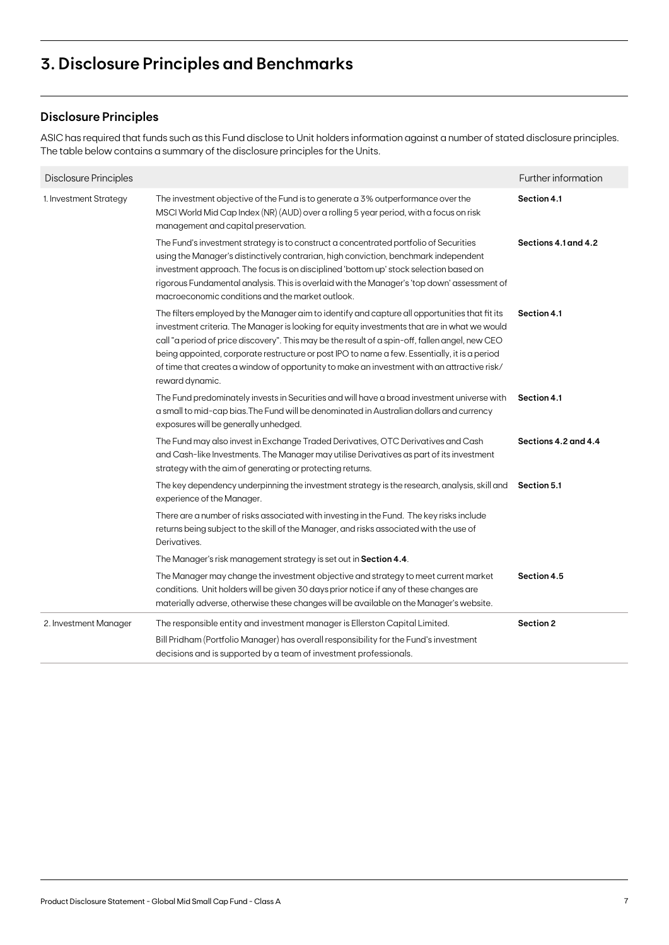# **3. Disclosure Principles and Benchmarks**

# **Disclosure Principles**

ASIC has required that funds such as this Fund disclose to Unit holders information against a number of stated disclosure principles. The table below contains a summary of the disclosure principles for the Units.

| Disclosure Principles  |                                                                                                                                                                                                                                                                                                                                                                                                                                                                                                                      | Further information  |
|------------------------|----------------------------------------------------------------------------------------------------------------------------------------------------------------------------------------------------------------------------------------------------------------------------------------------------------------------------------------------------------------------------------------------------------------------------------------------------------------------------------------------------------------------|----------------------|
| 1. Investment Strategy | The investment objective of the Fund is to generate a 3% outperformance over the<br>MSCI World Mid Cap Index (NR) (AUD) over a rolling 5 year period, with a focus on risk<br>management and capital preservation.                                                                                                                                                                                                                                                                                                   | Section 4.1          |
|                        | The Fund's investment strategy is to construct a concentrated portfolio of Securities<br>using the Manager's distinctively contrarian, high conviction, benchmark independent<br>investment approach. The focus is on disciplined 'bottom up' stock selection based on<br>rigorous Fundamental analysis. This is overlaid with the Manager's 'top down' assessment of<br>macroeconomic conditions and the market outlook.                                                                                            | Sections 4.1 and 4.2 |
|                        | The filters employed by the Manager aim to identify and capture all opportunities that fit its<br>investment criteria. The Manager is looking for equity investments that are in what we would<br>call "a period of price discovery". This may be the result of a spin-off, fallen angel, new CEO<br>being appointed, corporate restructure or post IPO to name a few. Essentially, it is a period<br>of time that creates a window of opportunity to make an investment with an attractive risk/<br>reward dynamic. | Section 4.1          |
|                        | The Fund predominately invests in Securities and will have a broad investment universe with<br>a small to mid-cap bias. The Fund will be denominated in Australian dollars and currency<br>exposures will be generally unhedged.                                                                                                                                                                                                                                                                                     | Section 4.1          |
|                        | The Fund may also invest in Exchange Traded Derivatives, OTC Derivatives and Cash<br>and Cash-like Investments. The Manager may utilise Derivatives as part of its investment<br>strategy with the aim of generating or protecting returns.                                                                                                                                                                                                                                                                          | Sections 4.2 and 4.4 |
|                        | The key dependency underpinning the investment strategy is the research, analysis, skill and<br>experience of the Manager.                                                                                                                                                                                                                                                                                                                                                                                           | Section 5.1          |
|                        | There are a number of risks associated with investing in the Fund. The key risks include<br>returns being subject to the skill of the Manager, and risks associated with the use of<br>Derivatives.                                                                                                                                                                                                                                                                                                                  |                      |
|                        | The Manager's risk management strategy is set out in Section 4.4.                                                                                                                                                                                                                                                                                                                                                                                                                                                    |                      |
|                        | The Manager may change the investment objective and strategy to meet current market<br>conditions. Unit holders will be given 30 days prior notice if any of these changes are<br>materially adverse, otherwise these changes will be available on the Manager's website.                                                                                                                                                                                                                                            | Section 4.5          |
| 2. Investment Manager  | The responsible entity and investment manager is Ellerston Capital Limited.<br>Bill Pridham (Portfolio Manager) has overall responsibility for the Fund's investment<br>decisions and is supported by a team of investment professionals.                                                                                                                                                                                                                                                                            | Section 2            |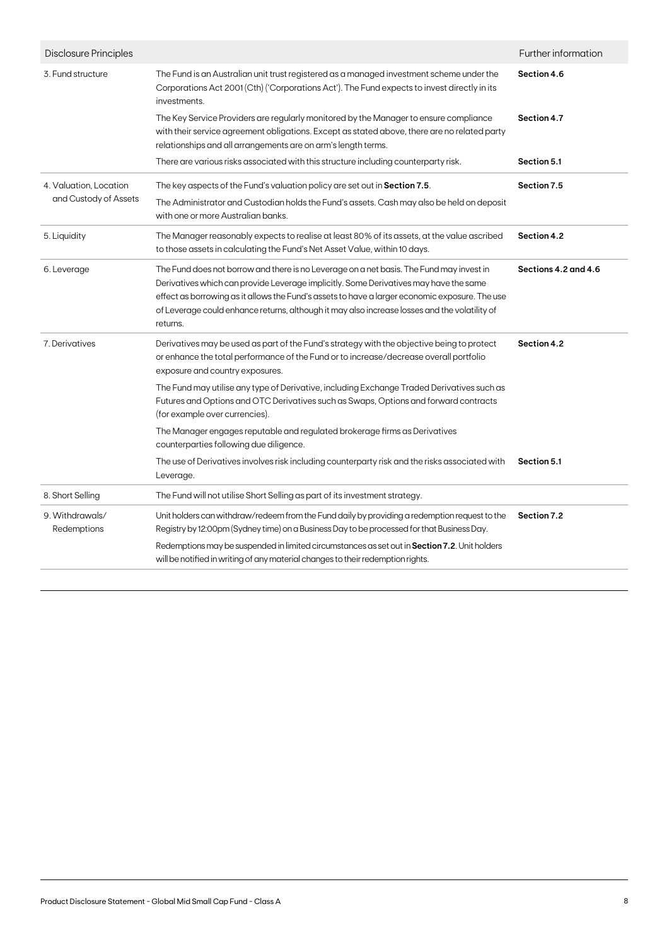| Disclosure Principles                           |                                                                                                                                                                                                                                                                                                                                                                                                  | Further information  |
|-------------------------------------------------|--------------------------------------------------------------------------------------------------------------------------------------------------------------------------------------------------------------------------------------------------------------------------------------------------------------------------------------------------------------------------------------------------|----------------------|
| 3. Fund structure                               | The Fund is an Australian unit trust registered as a managed investment scheme under the<br>Corporations Act 2001 (Cth) ('Corporations Act'). The Fund expects to invest directly in its<br>investments.                                                                                                                                                                                         | Section 4.6          |
|                                                 | The Key Service Providers are regularly monitored by the Manager to ensure compliance<br>with their service agreement obligations. Except as stated above, there are no related party<br>relationships and all arrangements are on arm's length terms.                                                                                                                                           | Section 4.7          |
|                                                 | There are various risks associated with this structure including counterparty risk.                                                                                                                                                                                                                                                                                                              | Section 5.1          |
| 4. Valuation, Location<br>and Custody of Assets | The key aspects of the Fund's valuation policy are set out in Section 7.5.<br>The Administrator and Custodian holds the Fund's assets. Cash may also be held on deposit<br>with one or more Australian banks.                                                                                                                                                                                    | Section 7.5          |
| 5. Liquidity                                    | The Manager reasonably expects to realise at least 80% of its assets, at the value ascribed<br>to those assets in calculating the Fund's Net Asset Value, within 10 days.                                                                                                                                                                                                                        | Section 4.2          |
| 6. Leverage                                     | The Fund does not borrow and there is no Leverage on a net basis. The Fund may invest in<br>Derivatives which can provide Leverage implicitly. Some Derivatives may have the same<br>effect as borrowing as it allows the Fund's assets to have a larger economic exposure. The use<br>of Leverage could enhance returns, although it may also increase losses and the volatility of<br>returns. | Sections 4.2 and 4.6 |
| 7. Derivatives                                  | Derivatives may be used as part of the Fund's strategy with the objective being to protect<br>or enhance the total performance of the Fund or to increase/decrease overall portfolio<br>exposure and country exposures.                                                                                                                                                                          | Section 4.2          |
|                                                 | The Fund may utilise any type of Derivative, including Exchange Traded Derivatives such as<br>Futures and Options and OTC Derivatives such as Swaps, Options and forward contracts<br>(for example over currencies).                                                                                                                                                                             |                      |
|                                                 | The Manager engages reputable and regulated brokerage firms as Derivatives<br>counterparties following due diligence.                                                                                                                                                                                                                                                                            |                      |
|                                                 | The use of Derivatives involves risk including counterparty risk and the risks associated with<br>Leverage.                                                                                                                                                                                                                                                                                      | Section 5.1          |
| 8. Short Selling                                | The Fund will not utilise Short Selling as part of its investment strategy.                                                                                                                                                                                                                                                                                                                      |                      |
| 9. Withdrawals/<br>Redemptions                  | Unit holders can withdraw/redeem from the Fund daily by providing a redemption request to the<br>Registry by 12:00pm (Sydney time) on a Business Day to be processed for that Business Day.                                                                                                                                                                                                      | Section 7.2          |
|                                                 | Redemptions may be suspended in limited circumstances as set out in Section 7.2. Unit holders<br>will be notified in writing of any material changes to their redemption rights.                                                                                                                                                                                                                 |                      |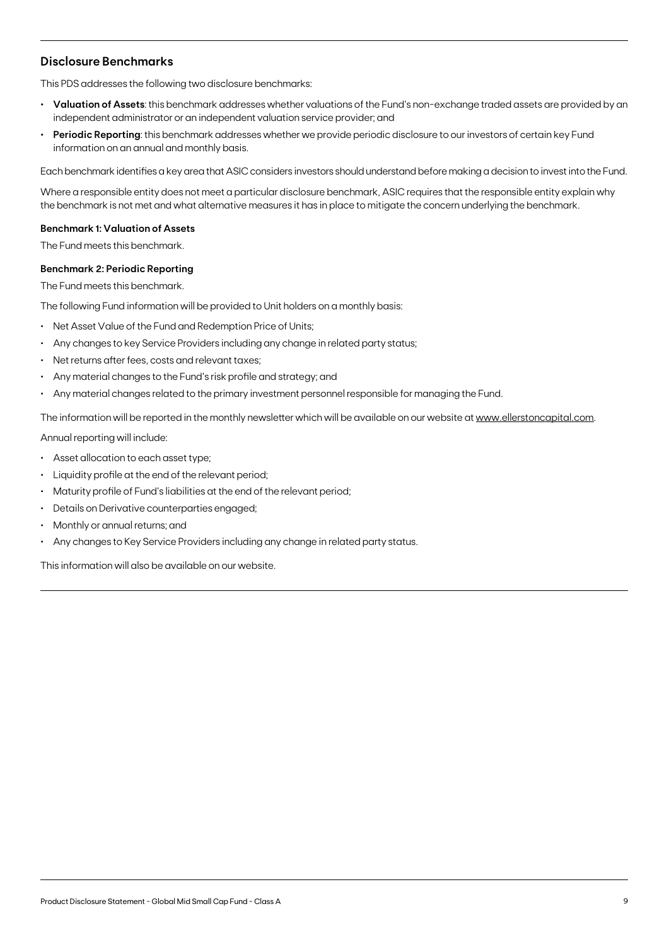# **Disclosure Benchmarks**

This PDS addresses the following two disclosure benchmarks:

- **• Valuation of Assets**: this benchmark addresses whether valuations of the Fund's non-exchange traded assets are provided by an independent administrator or an independent valuation service provider; and
- **• Periodic Reporting**: this benchmark addresses whether we provide periodic disclosure to our investors of certain key Fund information on an annual and monthly basis.

Each benchmark identifies a key area that ASIC considers investors should understand before making a decision to invest into the Fund.

Where a responsible entity does not meet a particular disclosure benchmark, ASIC requires that the responsible entity explain why the benchmark is not met and what alternative measures it has in place to mitigate the concern underlying the benchmark.

#### **Benchmark 1: Valuation of Assets**

The Fund meets this benchmark.

#### **Benchmark 2: Periodic Reporting**

The Fund meets this benchmark.

The following Fund information will be provided to Unit holders on a monthly basis:

- Net Asset Value of the Fund and Redemption Price of Units;
- Any changes to key Service Providers including any change in related party status;
- Net returns after fees, costs and relevant taxes;
- Any material changes to the Fund's risk profile and strategy; and
- Any material changes related to the primary investment personnel responsible for managing the Fund.

The information will be reported in the monthly newsletter which will be available on our website at [www.ellerstoncapital.com](http://www.ellerstoncapital.com).

Annual reporting will include:

- Asset allocation to each asset type;
- Liquidity profile at the end of the relevant period;
- Maturity profile of Fund's liabilities at the end of the relevant period;
- Details on Derivative counterparties engaged;
- Monthly or annual returns; and
- Any changes to Key Service Providers including any change in related party status.

This information will also be available on our website.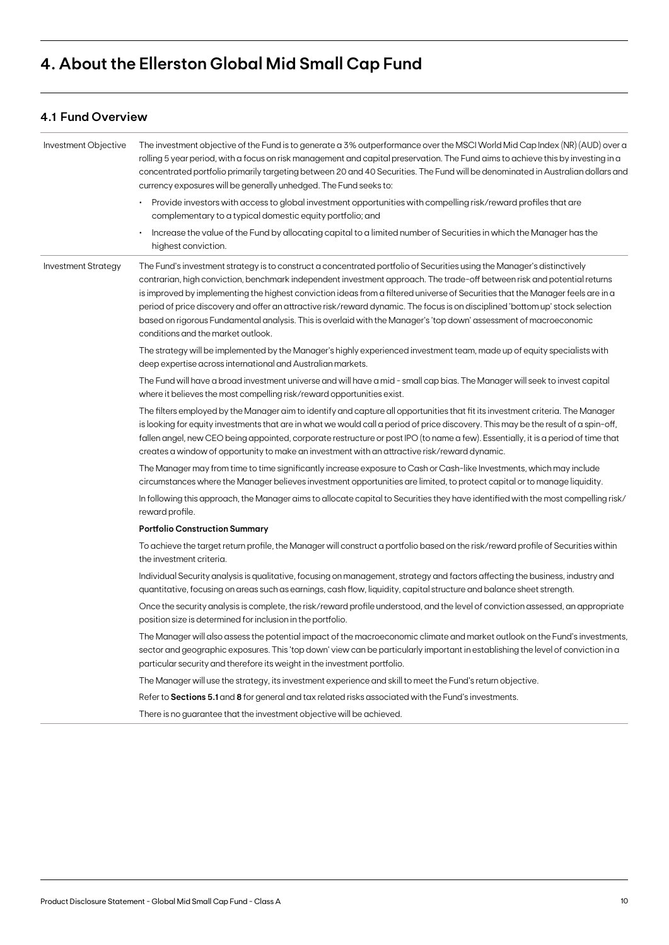# **4. About the Ellerston Global Mid Small Cap Fund**

# **4.1 Fund Overview**

| Investment Objective       | The investment objective of the Fund is to generate a 3% outperformance over the MSCI World Mid Cap Index (NR) (AUD) over a<br>rolling 5 year period, with a focus on risk management and capital preservation. The Fund aims to achieve this by investing in a<br>concentrated portfolio primarily targeting between 20 and 40 Securities. The Fund will be denominated in Australian dollars and<br>currency exposures will be generally unhedged. The Fund seeks to:                                                                                                                                                                                                              |
|----------------------------|--------------------------------------------------------------------------------------------------------------------------------------------------------------------------------------------------------------------------------------------------------------------------------------------------------------------------------------------------------------------------------------------------------------------------------------------------------------------------------------------------------------------------------------------------------------------------------------------------------------------------------------------------------------------------------------|
|                            | • Provide investors with access to global investment opportunities with compelling risk/reward profiles that are<br>complementary to a typical domestic equity portfolio; and                                                                                                                                                                                                                                                                                                                                                                                                                                                                                                        |
|                            | Increase the value of the Fund by allocating capital to a limited number of Securities in which the Manager has the<br>highest conviction.                                                                                                                                                                                                                                                                                                                                                                                                                                                                                                                                           |
| <b>Investment Strategy</b> | The Fund's investment strategy is to construct a concentrated portfolio of Securities using the Manager's distinctively<br>contrarian, high conviction, benchmark independent investment approach. The trade-off between risk and potential returns<br>is improved by implementing the highest conviction ideas from a filtered universe of Securities that the Manager feels are in a<br>period of price discovery and offer an attractive risk/reward dynamic. The focus is on disciplined 'bottom up' stock selection<br>based on rigorous Fundamental analysis. This is overlaid with the Manager's 'top down' assessment of macroeconomic<br>conditions and the market outlook. |
|                            | The strategy will be implemented by the Manager's highly experienced investment team, made up of equity specialists with<br>deep expertise across international and Australian markets.                                                                                                                                                                                                                                                                                                                                                                                                                                                                                              |
|                            | The Fund will have a broad investment universe and will have a mid - small cap bias. The Manager will seek to invest capital<br>where it believes the most compelling risk/reward opportunities exist.                                                                                                                                                                                                                                                                                                                                                                                                                                                                               |
|                            | The filters employed by the Manager aim to identify and capture all opportunities that fit its investment criteria. The Manager<br>is looking for equity investments that are in what we would call a period of price discovery. This may be the result of a spin-off,<br>fallen angel, new CEO being appointed, corporate restructure or post IPO (to name a few). Essentially, it is a period of time that<br>creates a window of opportunity to make an investment with an attractive risk/reward dynamic.                                                                                                                                                                        |
|                            | The Manager may from time to time significantly increase exposure to Cash or Cash-like Investments, which may include<br>circumstances where the Manager believes investment opportunities are limited, to protect capital or to manage liquidity.                                                                                                                                                                                                                                                                                                                                                                                                                                   |
|                            | In following this approach, the Manager aims to allocate capital to Securities they have identified with the most compelling risk/<br>reward profile.                                                                                                                                                                                                                                                                                                                                                                                                                                                                                                                                |
|                            | <b>Portfolio Construction Summary</b>                                                                                                                                                                                                                                                                                                                                                                                                                                                                                                                                                                                                                                                |
|                            | To achieve the target return profile, the Manager will construct a portfolio based on the risk/reward profile of Securities within<br>the investment criteria.                                                                                                                                                                                                                                                                                                                                                                                                                                                                                                                       |
|                            | Individual Security analysis is qualitative, focusing on management, strategy and factors affecting the business, industry and<br>quantitative, focusing on areas such as earnings, cash flow, liquidity, capital structure and balance sheet strength.                                                                                                                                                                                                                                                                                                                                                                                                                              |
|                            | Once the security analysis is complete, the risk/reward profile understood, and the level of conviction assessed, an appropriate<br>position size is determined for inclusion in the portfolio.                                                                                                                                                                                                                                                                                                                                                                                                                                                                                      |
|                            | The Manager will also assess the potential impact of the macroeconomic climate and market outlook on the Fund's investments,<br>sector and geographic exposures. This 'top down' view can be particularly important in establishing the level of conviction in a<br>particular security and therefore its weight in the investment portfolio.                                                                                                                                                                                                                                                                                                                                        |
|                            | The Manager will use the strategy, its investment experience and skill to meet the Fund's return objective.                                                                                                                                                                                                                                                                                                                                                                                                                                                                                                                                                                          |
|                            | Refer to Sections 5.1 and 8 for general and tax related risks associated with the Fund's investments.                                                                                                                                                                                                                                                                                                                                                                                                                                                                                                                                                                                |
|                            | There is no guarantee that the investment objective will be achieved.                                                                                                                                                                                                                                                                                                                                                                                                                                                                                                                                                                                                                |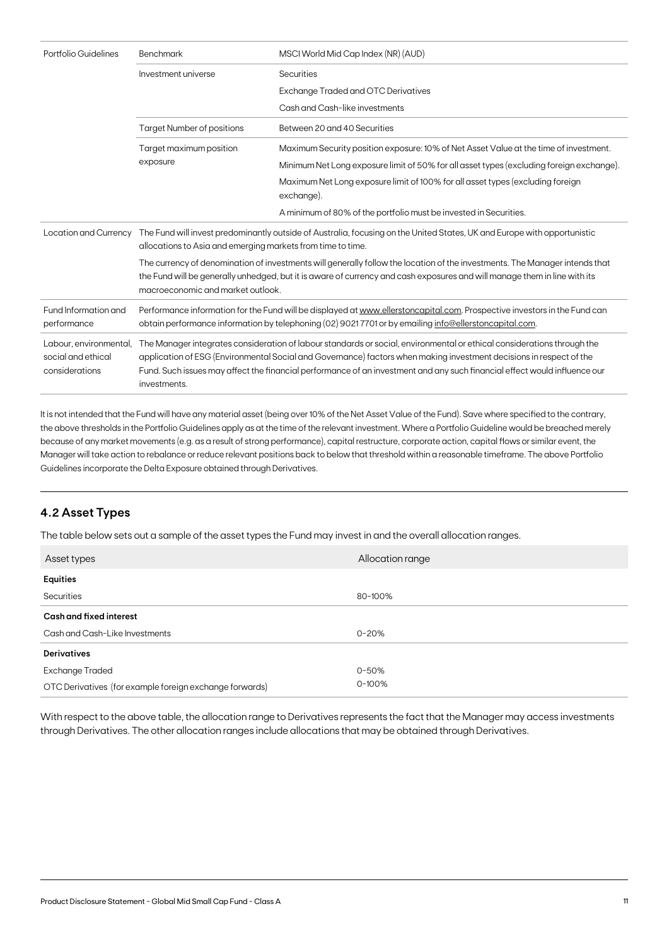| Portfolio Guidelines                                           | MSCI World Mid Cap Index (NR) (AUD)<br>Benchmark                                                                                                                                                                                                                                                                                                                                            |                                                                                              |
|----------------------------------------------------------------|---------------------------------------------------------------------------------------------------------------------------------------------------------------------------------------------------------------------------------------------------------------------------------------------------------------------------------------------------------------------------------------------|----------------------------------------------------------------------------------------------|
|                                                                | Investment universe                                                                                                                                                                                                                                                                                                                                                                         | Securities                                                                                   |
|                                                                |                                                                                                                                                                                                                                                                                                                                                                                             | <b>Exchange Traded and OTC Derivatives</b>                                                   |
|                                                                |                                                                                                                                                                                                                                                                                                                                                                                             | Cash and Cash-like investments                                                               |
|                                                                | <b>Target Number of positions</b>                                                                                                                                                                                                                                                                                                                                                           | Between 20 and 40 Securities                                                                 |
|                                                                | Target maximum position                                                                                                                                                                                                                                                                                                                                                                     | Maximum Security position exposure: 10% of Net Asset Value at the time of investment.        |
|                                                                | exposure                                                                                                                                                                                                                                                                                                                                                                                    | Minimum Net Long exposure limit of 50% for all asset types (excluding foreign exchange).     |
|                                                                |                                                                                                                                                                                                                                                                                                                                                                                             | Maximum Net Long exposure limit of 100% for all asset types (excluding foreign<br>exchange). |
|                                                                |                                                                                                                                                                                                                                                                                                                                                                                             | A minimum of 80% of the portfolio must be invested in Securities.                            |
| Location and Currency                                          | The Fund will invest predominantly outside of Australia, focusing on the United States, UK and Europe with opportunistic<br>allocations to Asia and emerging markets from time to time.                                                                                                                                                                                                     |                                                                                              |
|                                                                | The currency of denomination of investments will generally follow the location of the investments. The Manager intends that<br>the Fund will be generally unhedged, but it is aware of currency and cash exposures and will manage them in line with its<br>macroeconomic and market outlook.                                                                                               |                                                                                              |
| Fund Information and<br>performance                            | Performance information for the Fund will be displayed at www.ellerstoncapital.com. Prospective investors in the Fund can<br>obtain performance information by telephoning (02) 90217701 or by emailing info@ellerstoncapital.com.                                                                                                                                                          |                                                                                              |
| Labour, environmental,<br>social and ethical<br>considerations | The Manager integrates consideration of labour standards or social, environmental or ethical considerations through the<br>application of ESG (Environmental Social and Governance) factors when making investment decisions in respect of the<br>Fund. Such issues may affect the financial performance of an investment and any such financial effect would influence our<br>investments. |                                                                                              |

It is not intended that the Fund will have any material asset (being over 10% of the Net Asset Value of the Fund). Save where specified to the contrary, the above thresholds in the Portfolio Guidelines apply as at the time of the relevant investment. Where a Portfolio Guideline would be breached merely because of any market movements (e.g. as a result of strong performance), capital restructure, corporate action, capital flows or similar event, the Manager will take action to rebalance or reduce relevant positions back to below that threshold within a reasonable timeframe. The above Portfolio Guidelines incorporate the Delta Exposure obtained through Derivatives.

# **4.2 Asset Types**

The table below sets out a sample of the asset types the Fund may invest in and the overall allocation ranges.

| Asset types                                             | Allocation range |
|---------------------------------------------------------|------------------|
| <b>Equities</b>                                         |                  |
| Securities                                              | 80-100%          |
| Cash and fixed interest                                 |                  |
| Cash and Cash-Like Investments                          | $0 - 20%$        |
| <b>Derivatives</b>                                      |                  |
| <b>Exchange Traded</b>                                  | $0 - 50%$        |
| OTC Derivatives (for example foreign exchange forwards) | $0 - 100\%$      |

With respect to the above table, the allocation range to Derivatives represents the fact that the Manager may access investments through Derivatives. The other allocation ranges include allocations that may be obtained through Derivatives.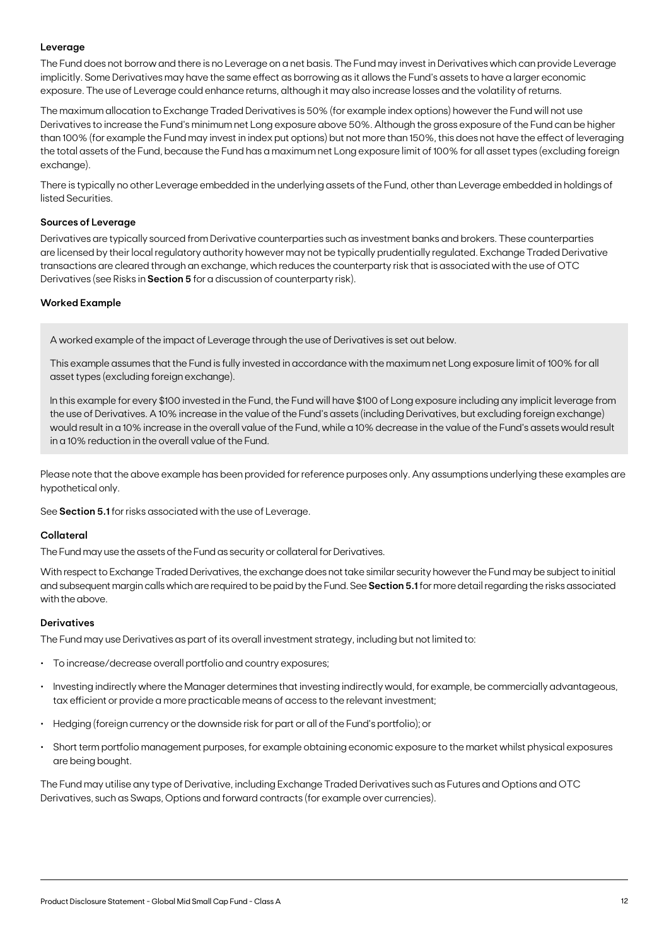#### **Leverage**

The Fund does not borrow and there is no Leverage on a net basis. The Fund may invest in Derivatives which can provide Leverage implicitly. Some Derivatives may have the same effect as borrowing as it allows the Fund's assets to have a larger economic exposure. The use of Leverage could enhance returns, although it may also increase losses and the volatility of returns.

The maximum allocation to Exchange Traded Derivatives is 50% (for example index options) however the Fund will not use Derivatives to increase the Fund's minimum net Long exposure above 50%. Although the gross exposure of the Fund can be higher than 100% (for example the Fund may invest in index put options) but not more than 150%, this does not have the effect of leveraging the total assets of the Fund, because the Fund has a maximum net Long exposure limit of 100% for all asset types (excluding foreign exchange).

There is typically no other Leverage embedded in the underlying assets of the Fund, other than Leverage embedded in holdings of listed Securities.

#### **Sources of Leverage**

Derivatives are typically sourced from Derivative counterparties such as investment banks and brokers. These counterparties are licensed by their local regulatory authority however may not be typically prudentially regulated. Exchange Traded Derivative transactions are cleared through an exchange, which reduces the counterparty risk that is associated with the use of OTC Derivatives (see Risks in **Section 5** for a discussion of counterparty risk).

#### **Worked Example**

A worked example of the impact of Leverage through the use of Derivatives is set out below.

This example assumes that the Fund is fully invested in accordance with the maximum net Long exposure limit of 100% for all asset types (excluding foreign exchange).

In this example for every \$100 invested in the Fund, the Fund will have \$100 of Long exposure including any implicit leverage from the use of Derivatives. A 10% increase in the value of the Fund's assets (including Derivatives, but excluding foreign exchange) would result in a 10% increase in the overall value of the Fund, while a 10% decrease in the value of the Fund's assets would result in a 10% reduction in the overall value of the Fund.

Please note that the above example has been provided for reference purposes only. Any assumptions underlying these examples are hypothetical only.

See **Section 5.1** for risks associated with the use of Leverage.

#### **Collateral**

The Fund may use the assets of the Fund as security or collateral for Derivatives.

With respect to Exchange Traded Derivatives, the exchange does not take similar security however the Fund may be subject to initial and subsequent margin calls which are required to be paid by the Fund. See **Section 5.1** for more detail regarding the risks associated with the above.

#### **Derivatives**

The Fund may use Derivatives as part of its overall investment strategy, including but not limited to:

- To increase/decrease overall portfolio and country exposures;
- Investing indirectly where the Manager determines that investing indirectly would, for example, be commercially advantageous, tax efficient or provide a more practicable means of access to the relevant investment;
- Hedging (foreign currency or the downside risk for part or all of the Fund's portfolio); or
- Short term portfolio management purposes, for example obtaining economic exposure to the market whilst physical exposures are being bought.

The Fund may utilise any type of Derivative, including Exchange Traded Derivatives such as Futures and Options and OTC Derivatives, such as Swaps, Options and forward contracts (for example over currencies).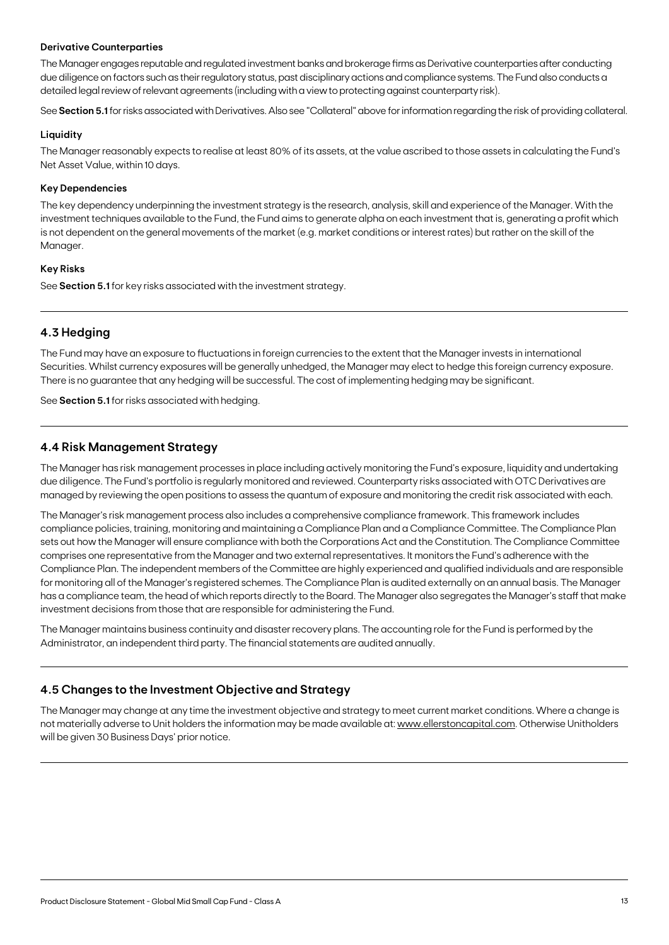#### **Derivative Counterparties**

The Manager engages reputable and regulated investment banks and brokerage firms as Derivative counterparties after conducting due diligence on factors such as their regulatory status, past disciplinary actions and compliance systems. The Fund also conducts a detailed legal review of relevant agreements (including with a view to protecting against counterparty risk).

See **Section 5.1** for risks associated with Derivatives. Also see "Collateral" above for information regarding the risk of providing collateral.

#### **Liquidity**

The Manager reasonably expects to realise at least 80% of its assets, at the value ascribed to those assets in calculating the Fund's Net Asset Value, within 10 days.

#### **Key Dependencies**

The key dependency underpinning the investment strategy is the research, analysis, skill and experience of the Manager. With the investment techniques available to the Fund, the Fund aims to generate alpha on each investment that is, generating a profit which is not dependent on the general movements of the market (e.g. market conditions or interest rates) but rather on the skill of the Manager.

#### **Key Risks**

See **Section 5.1** for key risks associated with the investment strategy.

# **4.3 Hedging**

The Fund may have an exposure to fluctuations in foreign currencies to the extent that the Manager invests in international Securities. Whilst currency exposures will be generally unhedged, the Manager may elect to hedge this foreign currency exposure. There is no guarantee that any hedging will be successful. The cost of implementing hedging may be significant.

See **Section 5.1** for risks associated with hedging.

### **4.4 Risk Management Strategy**

The Manager has risk management processes in place including actively monitoring the Fund's exposure, liquidity and undertaking due diligence. The Fund's portfolio is regularly monitored and reviewed. Counterparty risks associated with OTC Derivatives are managed by reviewing the open positions to assess the quantum of exposure and monitoring the credit risk associated with each.

The Manager's risk management process also includes a comprehensive compliance framework. This framework includes compliance policies, training, monitoring and maintaining a Compliance Plan and a Compliance Committee. The Compliance Plan sets out how the Manager will ensure compliance with both the Corporations Act and the Constitution. The Compliance Committee comprises one representative from the Manager and two external representatives. It monitors the Fund's adherence with the Compliance Plan. The independent members of the Committee are highly experienced and qualified individuals and are responsible for monitoring all of the Manager's registered schemes. The Compliance Plan is audited externally on an annual basis. The Manager has a compliance team, the head of which reports directly to the Board. The Manager also segregates the Manager's staff that make investment decisions from those that are responsible for administering the Fund.

The Manager maintains business continuity and disaster recovery plans. The accounting role for the Fund is performed by the Administrator, an independent third party. The financial statements are audited annually.

# **4.5 Changes to the Investment Objective and Strategy**

The Manager may change at any time the investment objective and strategy to meet current market conditions. Where a change is not materially adverse to Unit holders the information may be made available at: [www.ellerstoncapital.com](http://www.ellerstoncapital.com). Otherwise Unitholders will be given 30 Business Days' prior notice.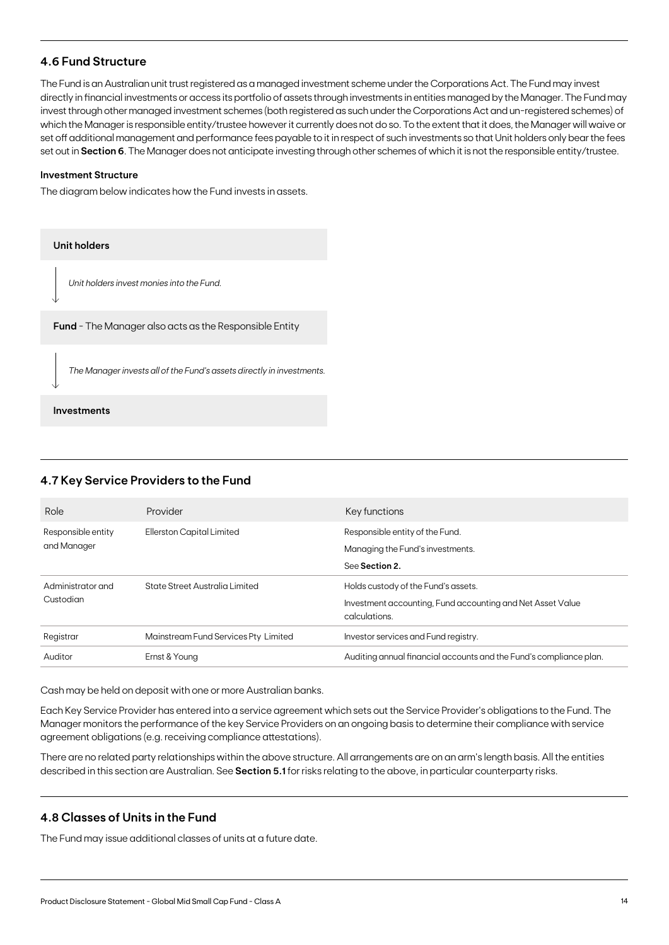# **4.6 Fund Structure**

The Fund is an Australian unit trust registered as a managed investment scheme under the Corporations Act. The Fund may invest directly in financial investments or access its portfolio of assets through investments in entities managed by the Manager. The Fund may invest through other managed investment schemes (both registered as such under the Corporations Act and un-registered schemes) of which the Manager is responsible entity/trustee however it currently does not do so. To the extent that it does, the Manager will waive or set off additional management and performance fees payable to it in respect of such investments so that Unit holders only bear the fees set out in **Section 6**. The Manager does not anticipate investing through other schemes of which it is not the responsible entity/trustee.

#### **Investment Structure**

The diagram below indicates how the Fund invests in assets.

| <b>Unit holders</b>                                                   |
|-----------------------------------------------------------------------|
| Unit holders invest monies into the Fund.                             |
| <b>Fund</b> - The Manager also acts as the Responsible Entity         |
| The Manager invests all of the Fund's assets directly in investments. |
| Investments                                                           |

# **4.7 Key Service Providers to the Fund**

| Role                              | Provider                             | Key functions                                                                                                      |
|-----------------------------------|--------------------------------------|--------------------------------------------------------------------------------------------------------------------|
| Responsible entity<br>and Manager | Ellerston Capital Limited            | Responsible entity of the Fund.<br>Managing the Fund's investments.<br>See Section 2.                              |
| Administrator and<br>Custodian    | State Street Australia Limited       | Holds custody of the Fund's assets.<br>Investment accounting, Fund accounting and Net Asset Value<br>calculations. |
| Registrar                         | Mainstream Fund Services Pty Limited | Investor services and Fund registry.                                                                               |
| Auditor                           | Ernst & Young                        | Auditing annual financial accounts and the Fund's compliance plan.                                                 |

Cash may be held on deposit with one or more Australian banks.

Each Key Service Provider has entered into a service agreement which sets out the Service Provider's obligations to the Fund. The Manager monitors the performance of the key Service Providers on an ongoing basis to determine their compliance with service agreement obligations (e.g. receiving compliance attestations).

There are no related party relationships within the above structure. All arrangements are on an arm's length basis. All the entities described in this section are Australian. See **Section 5.1** for risks relating to the above, in particular counterparty risks.

### **4.8 Classes of Units in the Fund**

The Fund may issue additional classes of units at a future date.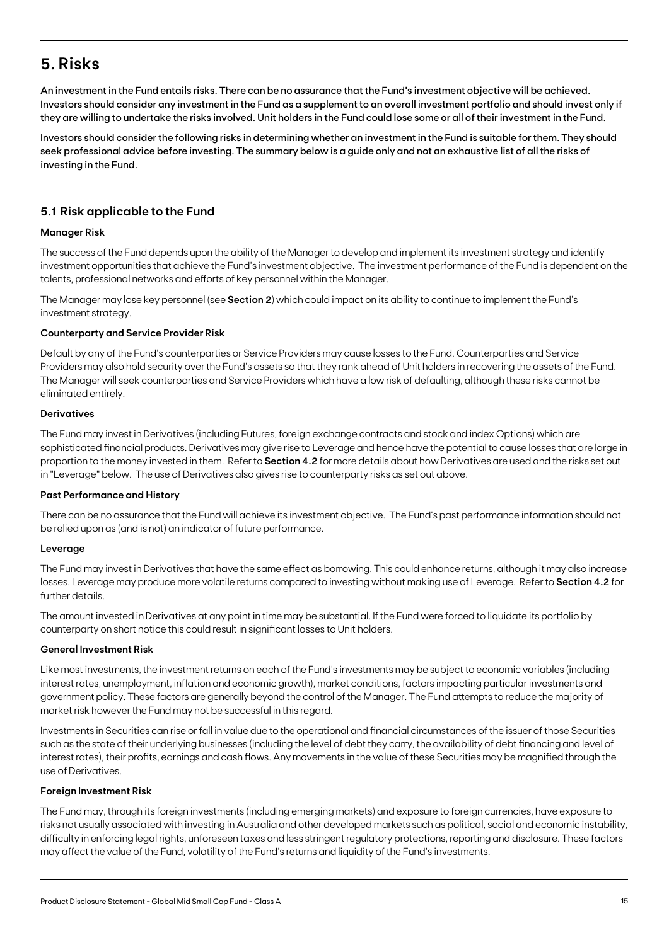# **5. Risks**

An investment in the Fund entails risks. There can be no assurance that the Fund's investment objective will be achieved. Investors should consider any investment in the Fund as a supplement to an overall investment portfolio and should invest only if they are willing to undertake the risks involved. Unit holders in the Fund could lose some or all of their investment in the Fund.

Investors should consider the following risks in determining whether an investment in the Fund is suitable for them. They should seek professional advice before investing. The summary below is a guide only and not an exhaustive list of all the risks of investing in the Fund.

# **5.1 Risk applicable to the Fund**

#### **Manager Risk**

The success of the Fund depends upon the ability of the Manager to develop and implement its investment strategy and identify investment opportunities that achieve the Fund's investment objective. The investment performance of the Fund is dependent on the talents, professional networks and efforts of key personnel within the Manager.

The Manager may lose key personnel (see **Section 2**) which could impact on its ability to continue to implement the Fund's investment strategy.

#### **Counterparty and Service Provider Risk**

Default by any of the Fund's counterparties or Service Providers may cause losses to the Fund. Counterparties and Service Providers may also hold security over the Fund's assets so that they rank ahead of Unit holders in recovering the assets of the Fund. The Manager will seek counterparties and Service Providers which have a low risk of defaulting, although these risks cannot be eliminated entirely.

#### **Derivatives**

The Fund may invest in Derivatives (including Futures, foreign exchange contracts and stock and index Options) which are sophisticated financial products. Derivatives may give rise to Leverage and hence have the potential to cause losses that are large in proportion to the money invested in them. Refer to **Section 4.2** for more details about how Derivatives are used and the risks set out in "Leverage" below. The use of Derivatives also gives rise to counterparty risks as set out above.

#### **Past Performance and History**

There can be no assurance that the Fund will achieve its investment objective. The Fund's past performance information should not be relied upon as (and is not) an indicator of future performance.

#### **Leverage**

The Fund may invest in Derivatives that have the same effect as borrowing. This could enhance returns, although it may also increase losses. Leverage may produce more volatile returns compared to investing without making use of Leverage. Refer to **Section 4.2** for further details.

The amount invested in Derivatives at any point in time may be substantial. If the Fund were forced to liquidate its portfolio by counterparty on short notice this could result in significant losses to Unit holders.

#### **General Investment Risk**

Like most investments, the investment returns on each of the Fund's investments may be subject to economic variables (including interest rates, unemployment, inflation and economic growth), market conditions, factors impacting particular investments and government policy. These factors are generally beyond the control of the Manager. The Fund attempts to reduce the majority of market risk however the Fund may not be successful in this regard.

Investments in Securities can rise or fall in value due to the operational and financial circumstances of the issuer of those Securities such as the state of their underlying businesses (including the level of debt they carry, the availability of debt financing and level of interest rates), their profits, earnings and cash flows. Any movements in the value of these Securities may be magnified through the use of Derivatives.

#### **Foreign Investment Risk**

The Fund may, through its foreign investments (including emerging markets) and exposure to foreign currencies, have exposure to risks not usually associated with investing in Australia and other developed markets such as political, social and economic instability, difficulty in enforcing legal rights, unforeseen taxes and less stringent regulatory protections, reporting and disclosure. These factors may affect the value of the Fund, volatility of the Fund's returns and liquidity of the Fund's investments.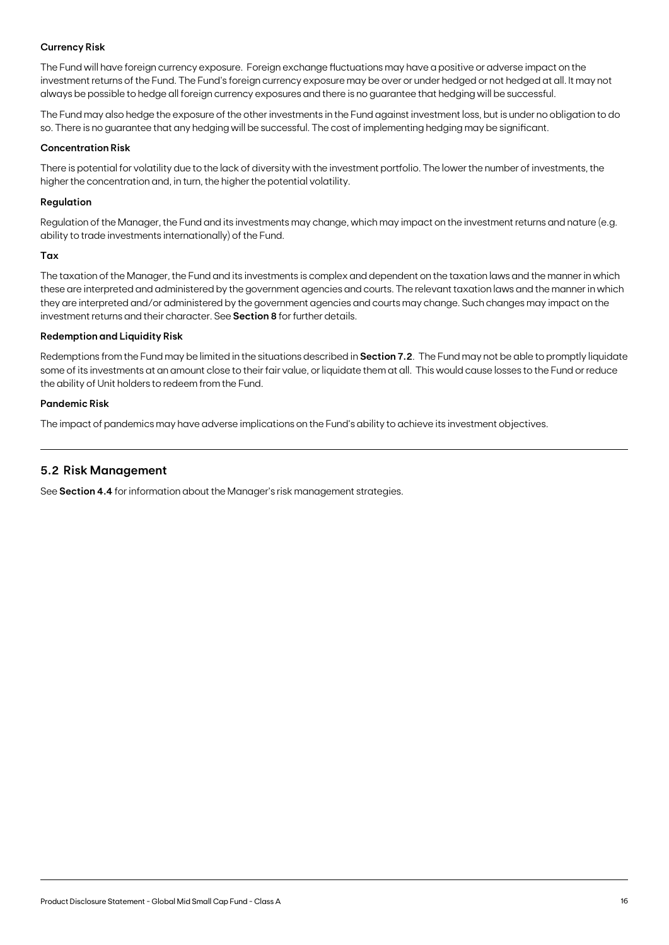### **Currency Risk**

The Fund will have foreign currency exposure. Foreign exchange fluctuations may have a positive or adverse impact on the investment returns of the Fund. The Fund's foreign currency exposure may be over or under hedged or not hedged at all. It may not always be possible to hedge all foreign currency exposures and there is no guarantee that hedging will be successful.

The Fund may also hedge the exposure of the other investments in the Fund against investment loss, but is under no obligation to do so. There is no guarantee that any hedging will be successful. The cost of implementing hedging may be significant.

#### **Concentration Risk**

There is potential for volatility due to the lack of diversity with the investment portfolio. The lower the number of investments, the higher the concentration and, in turn, the higher the potential volatility.

#### **Regulation**

Regulation of the Manager, the Fund and its investments may change, which may impact on the investment returns and nature (e.g. ability to trade investments internationally) of the Fund.

#### **Tax**

The taxation of the Manager, the Fund and its investments is complex and dependent on the taxation laws and the manner in which these are interpreted and administered by the government agencies and courts. The relevant taxation laws and the manner in which they are interpreted and/or administered by the government agencies and courts may change. Such changes may impact on the investment returns and their character. See **Section 8** for further details.

#### **Redemption and Liquidity Risk**

Redemptions from the Fund may be limited in the situations described in **Section 7.2**. The Fund may not be able to promptly liquidate some of its investments at an amount close to their fair value, or liquidate them at all. This would cause losses to the Fund or reduce the ability of Unit holders to redeem from the Fund.

#### **Pandemic Risk**

The impact of pandemics may have adverse implications on the Fund's ability to achieve its investment objectives.

### **5.2 Risk Management**

See **Section 4.4** for information about the Manager's risk management strategies.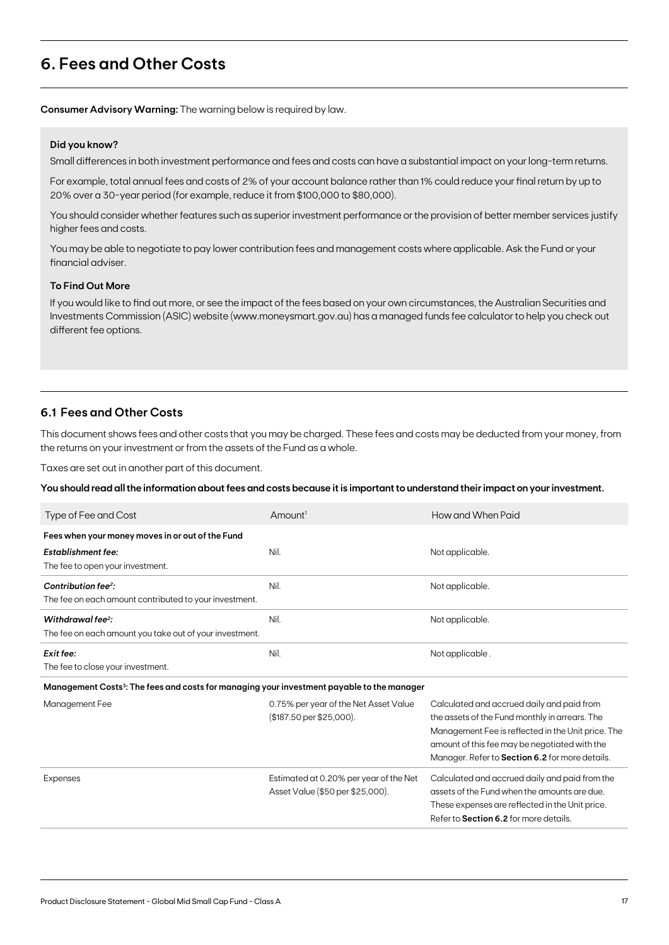# **6. Fees and Other Costs**

**Consumer Advisory Warning:** The warning below is required by law.

#### **Did you know?**

Small differences in both investment performance and fees and costs can have a substantial impact on your long-term returns.

For example, total annual fees and costs of 2% of your account balance rather than 1% could reduce your final return by up to 20% over a 30-year period (for example, reduce it from \$100,000 to \$80,000).

You should consider whether features such as superior investment performance or the provision of better member services justify higher fees and costs.

You may be able to negotiate to pay lower contribution fees and management costs where applicable. Ask the Fund or your financial adviser.

#### **To Find Out More**

If you would like to find out more, or see the impact of the fees based on your own circumstances, the Australian Securities and Investments Commission (ASIC) website (www.moneysmart.gov.au) has a managed funds fee calculator to help you check out different fee options.

### **6.1 Fees and Other Costs**

This document shows fees and other costs that you may be charged. These fees and costs may be deducted from your money, from the returns on your investment or from the assets of the Fund as a whole.

Taxes are set out in another part of this document.

**You should read all the information about fees and costs because it is important to understand their impact on your investment.**

| Type of Fee and Cost                                                                                   | Amount <sup>1</sup>                                                        | How and When Paid                                                                                                                                                                                                                                      |
|--------------------------------------------------------------------------------------------------------|----------------------------------------------------------------------------|--------------------------------------------------------------------------------------------------------------------------------------------------------------------------------------------------------------------------------------------------------|
| Fees when your money moves in or out of the Fund                                                       |                                                                            |                                                                                                                                                                                                                                                        |
| <b>Establishment fee:</b>                                                                              | Nil.                                                                       | Not applicable.                                                                                                                                                                                                                                        |
| The fee to open your investment.                                                                       |                                                                            |                                                                                                                                                                                                                                                        |
| Contribution fee <sup>2</sup> :                                                                        | Nil.                                                                       | Not applicable.                                                                                                                                                                                                                                        |
| The fee on each amount contributed to your investment.                                                 |                                                                            |                                                                                                                                                                                                                                                        |
| Withdrawal fee <sup>2</sup> :                                                                          | Nil.                                                                       | Not applicable.                                                                                                                                                                                                                                        |
| The fee on each amount you take out of your investment.                                                |                                                                            |                                                                                                                                                                                                                                                        |
| Exit fee:                                                                                              | Nil.                                                                       | Not applicable.                                                                                                                                                                                                                                        |
| The fee to close your investment.                                                                      |                                                                            |                                                                                                                                                                                                                                                        |
| Management Costs <sup>3</sup> : The fees and costs for managing your investment payable to the manager |                                                                            |                                                                                                                                                                                                                                                        |
| Management Fee                                                                                         | 0.75% per year of the Net Asset Value<br>$$187.50$ per \$25,000).          | Calculated and accrued daily and paid from<br>the assets of the Fund monthly in arrears. The<br>Management Fee is reflected in the Unit price. The<br>amount of this fee may be negotiated with the<br>Manager. Refer to Section 6.2 for more details. |
| Expenses                                                                                               | Estimated at 0.20% per year of the Net<br>Asset Value (\$50 per \$25,000). | Calculated and accrued daily and paid from the<br>assets of the Fund when the amounts are due.<br>These expenses are reflected in the Unit price.<br>Refer to Section 6.2 for more details.                                                            |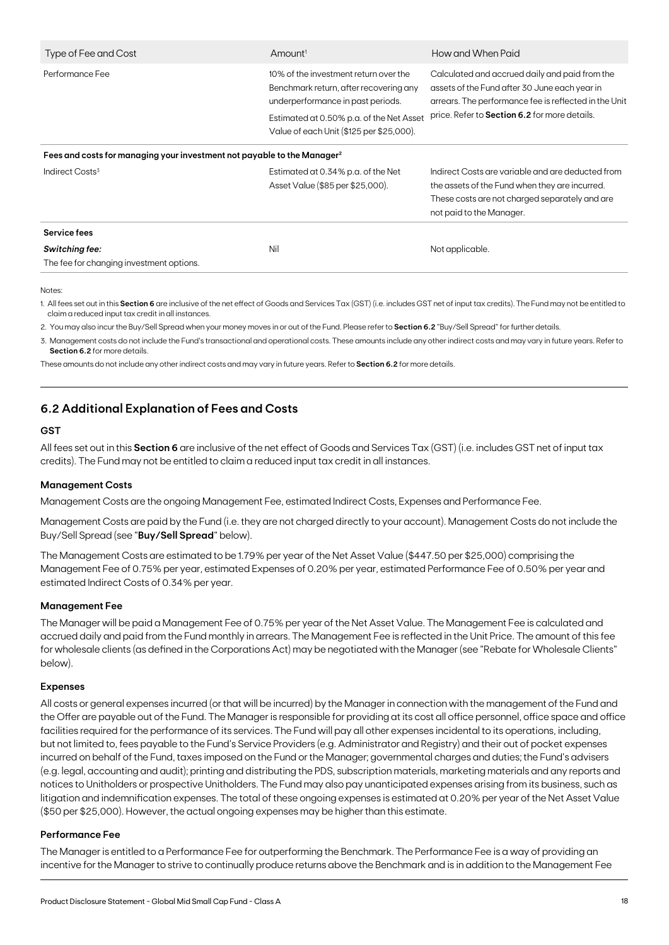| Type of Fee and Cost                                                                | $A$ mount <sup>1</sup>                                                                                               | How and When Paid                                                                                                                                                                 |
|-------------------------------------------------------------------------------------|----------------------------------------------------------------------------------------------------------------------|-----------------------------------------------------------------------------------------------------------------------------------------------------------------------------------|
| Performance Fee                                                                     | 10% of the investment return over the<br>Benchmark return, after recovering any<br>underperformance in past periods. | Calculated and accrued daily and paid from the<br>assets of the Fund after 30 June each year in<br>arrears. The performance fee is reflected in the Unit                          |
|                                                                                     | Estimated at 0.50% p.a. of the Net Asset<br>Value of each Unit (\$125 per \$25,000).                                 | price. Refer to Section 6.2 for more details.                                                                                                                                     |
| Fees and costs for managing your investment not payable to the Manager <sup>2</sup> |                                                                                                                      |                                                                                                                                                                                   |
| Indirect Costs <sup>3</sup>                                                         | Estimated at 0.34% p.a. of the Net<br>Asset Value (\$85 per \$25,000).                                               | Indirect Costs are variable and are deducted from<br>the assets of the Fund when they are incurred.<br>These costs are not charged separately and are<br>not paid to the Manager. |
| Service fees                                                                        |                                                                                                                      |                                                                                                                                                                                   |
| <b>Switching fee:</b><br>The fee for changing investment options.                   | Nil                                                                                                                  | Not applicable.                                                                                                                                                                   |

Notes:

1. All fees set out in this **Section 6** are inclusive of the net effect of Goods and Services Tax (GST) (i.e. includes GST net of input tax credits). The Fund may not be entitled to claim a reduced input tax credit in all instances.

2. You may also incur the Buy/Sell Spread when your money moves in or out of the Fund. Please refer to **Section 6.2** "Buy/Sell Spread" for further details.

3. Management costs do not include the Fund's transactional and operational costs. These amounts include any other indirect costs and may vary in future years. Refer to **Section 6.2** for more details.

These amounts do not include any other indirect costs and may vary in future years. Refer to **Section 6.2** for more details.

# **6.2 Additional Explanation of Fees and Costs**

#### **GST**

All fees set out in this **Section 6** are inclusive of the net effect of Goods and Services Tax (GST) (i.e. includes GST net of input tax credits). The Fund may not be entitled to claim a reduced input tax credit in all instances.

#### **Management Costs**

Management Costs are the ongoing Management Fee, estimated Indirect Costs, Expenses and Performance Fee.

Management Costs are paid by the Fund (i.e. they are not charged directly to your account). Management Costs do not include the Buy/Sell Spread (see "**Buy/Sell Spread**" below).

The Management Costs are estimated to be 1.79% per year of the Net Asset Value (\$447.50 per \$25,000) comprising the Management Fee of 0.75% per year, estimated Expenses of 0.20% per year, estimated Performance Fee of 0.50% per year and estimated Indirect Costs of 0.34% per year.

#### **Management Fee**

The Manager will be paid a Management Fee of 0.75% per year of the Net Asset Value. The Management Fee is calculated and accrued daily and paid from the Fund monthly in arrears. The Management Fee is reflected in the Unit Price. The amount of this fee for wholesale clients (as defined in the Corporations Act) may be negotiated with the Manager (see "Rebate for Wholesale Clients" below).

#### **Expenses**

All costs or general expenses incurred (or that will be incurred) by the Manager in connection with the management of the Fund and the Offer are payable out of the Fund. The Manager is responsible for providing at its cost all office personnel, office space and office facilities required for the performance of its services. The Fund will pay all other expenses incidental to its operations, including, but not limited to, fees payable to the Fund's Service Providers (e.g. Administrator and Registry) and their out of pocket expenses incurred on behalf of the Fund, taxes imposed on the Fund or the Manager; governmental charges and duties; the Fund's advisers (e.g. legal, accounting and audit); printing and distributing the PDS, subscription materials, marketing materials and any reports and notices to Unitholders or prospective Unitholders. The Fund may also pay unanticipated expenses arising from its business, such as litigation and indemnification expenses. The total of these ongoing expenses is estimated at 0.20% per year of the Net Asset Value (\$50 per \$25,000). However, the actual ongoing expenses may be higher than this estimate.

#### **Performance Fee**

The Manager is entitled to a Performance Fee for outperforming the Benchmark. The Performance Fee is a way of providing an incentive for the Manager to strive to continually produce returns above the Benchmark and is in addition to the Management Fee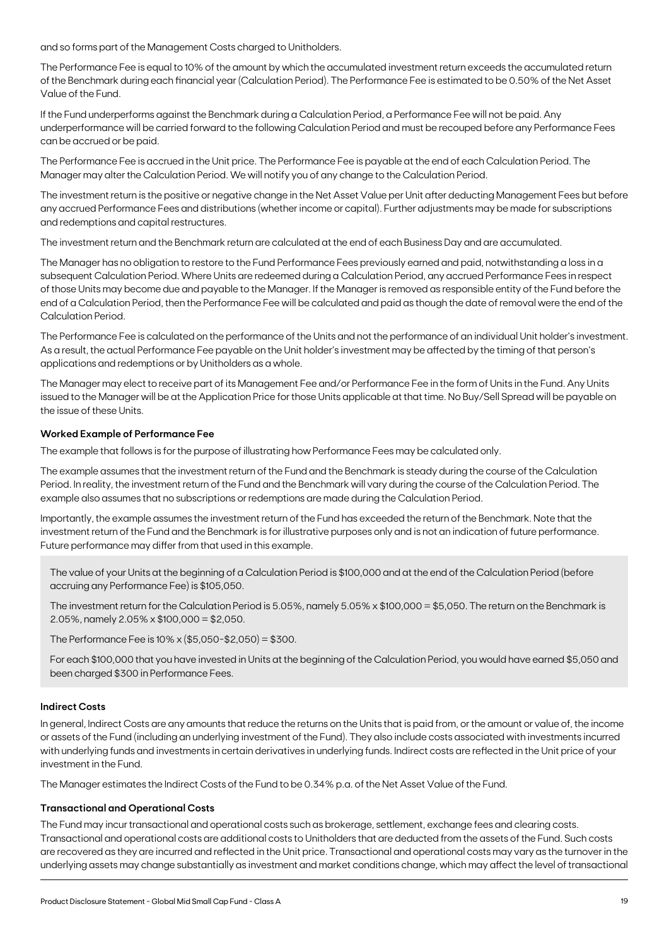and so forms part of the Management Costs charged to Unitholders.

The Performance Fee is equal to 10% of the amount by which the accumulated investment return exceeds the accumulated return of the Benchmark during each financial year (Calculation Period). The Performance Fee is estimated to be 0.50% of the Net Asset Value of the Fund.

If the Fund underperforms against the Benchmark during a Calculation Period, a Performance Fee will not be paid. Any underperformance will be carried forward to the following Calculation Period and must be recouped before any Performance Fees can be accrued or be paid.

The Performance Fee is accrued in the Unit price. The Performance Fee is payable at the end of each Calculation Period. The Manager may alter the Calculation Period. We will notify you of any change to the Calculation Period.

The investment return is the positive or negative change in the Net Asset Value per Unit after deducting Management Fees but before any accrued Performance Fees and distributions (whether income or capital). Further adjustments may be made for subscriptions and redemptions and capital restructures.

The investment return and the Benchmark return are calculated at the end of each Business Day and are accumulated.

The Manager has no obligation to restore to the Fund Performance Fees previously earned and paid, notwithstanding a loss in a subsequent Calculation Period. Where Units are redeemed during a Calculation Period, any accrued Performance Fees in respect of those Units may become due and payable to the Manager. If the Manager is removed as responsible entity of the Fund before the end of a Calculation Period, then the Performance Fee will be calculated and paid as though the date of removal were the end of the Calculation Period.

The Performance Fee is calculated on the performance of the Units and not the performance of an individual Unit holder's investment. As a result, the actual Performance Fee payable on the Unit holder's investment may be affected by the timing of that person's applications and redemptions or by Unitholders as a whole.

The Manager may elect to receive part of its Management Fee and/or Performance Fee in the form of Units in the Fund. Any Units issued to the Manager will be at the Application Price for those Units applicable at that time. No Buy/Sell Spread will be payable on the issue of these Units.

#### **Worked Example of Performance Fee**

The example that follows is for the purpose of illustrating how Performance Fees may be calculated only.

The example assumes that the investment return of the Fund and the Benchmark is steady during the course of the Calculation Period. In reality, the investment return of the Fund and the Benchmark will vary during the course of the Calculation Period. The example also assumes that no subscriptions or redemptions are made during the Calculation Period.

Importantly, the example assumes the investment return of the Fund has exceeded the return of the Benchmark. Note that the investment return of the Fund and the Benchmark is for illustrative purposes only and is not an indication of future performance. Future performance may differ from that used in this example.

The value of your Units at the beginning of a Calculation Period is \$100,000 and at the end of the Calculation Period (before accruing any Performance Fee) is \$105,050.

The investment return for the Calculation Period is 5.05%, namely 5.05% x \$100,000 = \$5,050. The return on the Benchmark is 2.05%, namely 2.05% x \$100,000 = \$2,050.

The Performance Fee is 10% x (\$5,050-\$2,050) = \$300.

For each \$100,000 that you have invested in Units at the beginning of the Calculation Period, you would have earned \$5,050 and been charged \$300 in Performance Fees.

### **Indirect Costs**

In general, Indirect Costs are any amounts that reduce the returns on the Units that is paid from, or the amount or value of, the income or assets of the Fund (including an underlying investment of the Fund). They also include costs associated with investments incurred with underlying funds and investments in certain derivatives in underlying funds. Indirect costs are reflected in the Unit price of your investment in the Fund.

The Manager estimates the Indirect Costs of the Fund to be 0.34% p.a. of the Net Asset Value of the Fund.

#### **Transactional and Operational Costs**

The Fund may incur transactional and operational costs such as brokerage, settlement, exchange fees and clearing costs. Transactional and operational costs are additional costs to Unitholders that are deducted from the assets of the Fund. Such costs are recovered as they are incurred and reflected in the Unit price. Transactional and operational costs may vary as the turnover in the underlying assets may change substantially as investment and market conditions change, which may affect the level of transactional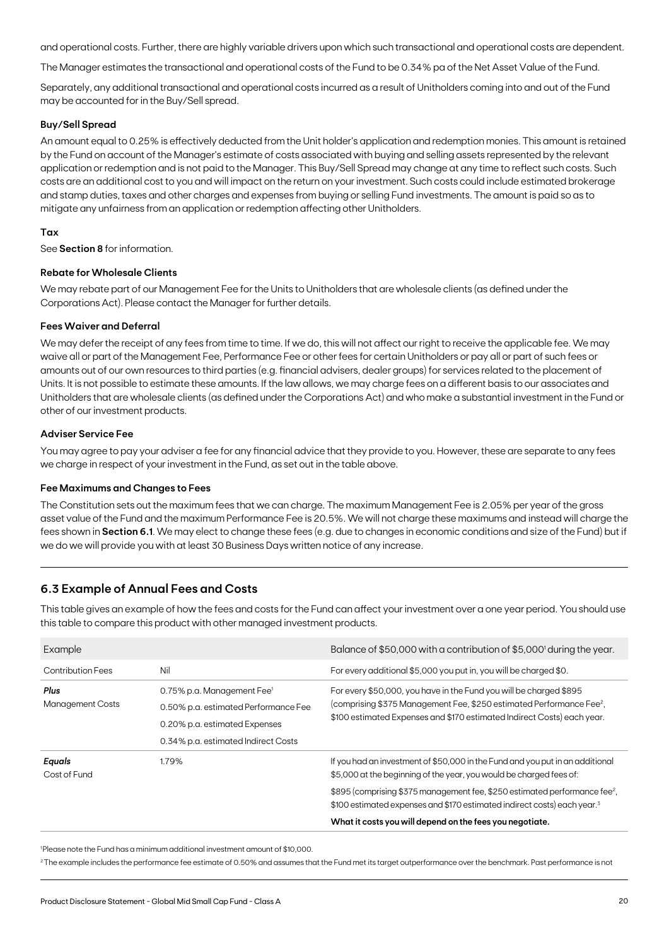and operational costs. Further, there are highly variable drivers upon which such transactional and operational costs are dependent.

The Manager estimates the transactional and operational costs of the Fund to be 0.34% pa of the Net Asset Value of the Fund.

Separately, any additional transactional and operational costs incurred as a result of Unitholders coming into and out of the Fund may be accounted for in the Buy/Sell spread.

#### **Buy/Sell Spread**

An amount equal to 0.25% is effectively deducted from the Unit holder's application and redemption monies. This amount is retained by the Fund on account of the Manager's estimate of costs associated with buying and selling assets represented by the relevant application or redemption and is not paid to the Manager. This Buy/Sell Spread may change at any time to reflect such costs. Such costs are an additional cost to you and will impact on the return on your investment. Such costs could include estimated brokerage and stamp duties, taxes and other charges and expenses from buying or selling Fund investments. The amount is paid so as to mitigate any unfairness from an application or redemption affecting other Unitholders.

#### **Tax**

See **Section 8** for information.

#### **Rebate for Wholesale Clients**

We may rebate part of our Management Fee for the Units to Unitholders that are wholesale clients (as defined under the Corporations Act). Please contact the Manager for further details.

#### **Fees Waiver and Deferral**

We may defer the receipt of any fees from time to time. If we do, this will not affect our right to receive the applicable fee. We may waive all or part of the Management Fee, Performance Fee or other fees for certain Unitholders or pay all or part of such fees or amounts out of our own resources to third parties (e.g. financial advisers, dealer groups) for services related to the placement of Units. It is not possible to estimate these amounts. If the law allows, we may charge fees on a different basis to our associates and Unitholders that are wholesale clients (as defined under the Corporations Act) and who make a substantial investment in the Fund or other of our investment products.

#### **Adviser Service Fee**

You may agree to pay your adviser a fee for any financial advice that they provide to you. However, these are separate to any fees we charge in respect of your investment in the Fund, as set out in the table above.

#### **Fee Maximums and Changes to Fees**

The Constitution sets out the maximum fees that we can charge. The maximum Management Fee is 2.05% per year of the gross asset value of the Fund and the maximum Performance Fee is 20.5%. We will not charge these maximums and instead will charge the fees shown in **Section 6.1**. We may elect to change these fees (e.g. due to changes in economic conditions and size of the Fund) but if we do we will provide you with at least 30 Business Days written notice of any increase.

# **6.3 Example of Annual Fees and Costs**

This table gives an example of how the fees and costs for the Fund can affect your investment over a one year period. You should use this table to compare this product with other managed investment products.

| Example                         |                                                                                                                                                        | Balance of \$50,000 with a contribution of \$5,000 <sup>1</sup> during the year.                                                                                                                                                                                                                                                       |
|---------------------------------|--------------------------------------------------------------------------------------------------------------------------------------------------------|----------------------------------------------------------------------------------------------------------------------------------------------------------------------------------------------------------------------------------------------------------------------------------------------------------------------------------------|
| <b>Contribution Fees</b>        | Nil                                                                                                                                                    | For every additional \$5,000 you put in, you will be charged \$0.                                                                                                                                                                                                                                                                      |
| Plus<br><b>Management Costs</b> | 0.75% p.a. Management Fee <sup>1</sup><br>0.50% p.a. estimated Performance Fee<br>0.20% p.a. estimated Expenses<br>0.34% p.a. estimated Indirect Costs | For every \$50,000, you have in the Fund you will be charged \$895<br>(comprising \$375 Management Fee, \$250 estimated Performance Fee <sup>2</sup> ,<br>\$100 estimated Expenses and \$170 estimated Indirect Costs) each year.                                                                                                      |
| Equals<br>Cost of Fund          | 1.79%                                                                                                                                                  | If you had an investment of \$50,000 in the Fund and you put in an additional<br>\$5,000 at the beginning of the year, you would be charged fees of:<br>\$895 (comprising \$375 management fee, \$250 estimated performance fee <sup>2</sup> ,<br>\$100 estimated expenses and \$170 estimated indirect costs) each year. <sup>3</sup> |
|                                 |                                                                                                                                                        | What it costs you will depend on the fees you negotiate.                                                                                                                                                                                                                                                                               |

1 Please note the Fund has a minimum additional investment amount of \$10,000.

<sup>2</sup>The example includes the performance fee estimate of 0.50% and assumes that the Fund met its target outperformance over the benchmark. Past performance is not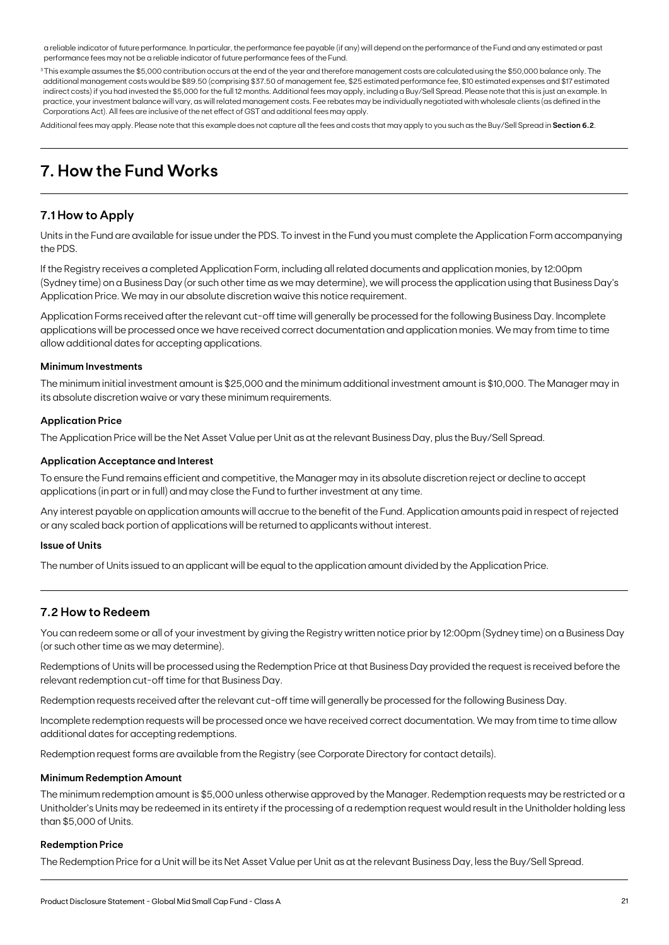a reliable indicator of future performance. In particular, the performance fee payable (if any) will depend on the performance of the Fund and any estimated or past performance fees may not be a reliable indicator of future performance fees of the Fund.

<sup>3</sup>This example assumes the \$5,000 contribution occurs at the end of the year and therefore management costs are calculated using the \$50,000 balance only. The additional management costs would be \$89.50 (comprising \$37.50 of management fee, \$25 estimated performance fee, \$10 estimated expenses and \$17 estimated indirect costs) if you had invested the \$5,000 for the full 12 months. Additional fees may apply, including a Buy/Sell Spread. Please note that this is just an example. In practice, your investment balance will vary, as will related management costs. Fee rebates may be individually negotiated with wholesale clients (as defined in the Corporations Act). All fees are inclusive of the net effect of GST and additional fees may apply.

Additional fees may apply. Please note that this example does not capture all the fees and costs that may apply to you such as the Buy/Sell Spread in **Section 6.2**.

# **7. How the Fund Works**

# **7.1 How to Apply**

Units in the Fund are available for issue under the PDS. To invest in the Fund you must complete the Application Form accompanying the PDS.

If the Registry receives a completed Application Form, including all related documents and application monies, by 12:00pm (Sydney time) on a Business Day (or such other time as we may determine), we will process the application using that Business Day's Application Price. We may in our absolute discretion waive this notice requirement.

Application Forms received after the relevant cut-off time will generally be processed for the following Business Day. Incomplete applications will be processed once we have received correct documentation and application monies. We may from time to time allow additional dates for accepting applications.

#### **Minimum Investments**

The minimum initial investment amount is \$25,000 and the minimum additional investment amount is \$10,000. The Manager may in its absolute discretion waive or vary these minimum requirements.

#### **Application Price**

The Application Price will be the Net Asset Value per Unit as at the relevant Business Day, plus the Buy/Sell Spread.

#### **Application Acceptance and Interest**

To ensure the Fund remains efficient and competitive, the Manager may in its absolute discretion reject or decline to accept applications (in part or in full) and may close the Fund to further investment at any time.

Any interest payable on application amounts will accrue to the benefit of the Fund. Application amounts paid in respect of rejected or any scaled back portion of applications will be returned to applicants without interest.

#### **Issue of Units**

The number of Units issued to an applicant will be equal to the application amount divided by the Application Price.

### **7.2 How to Redeem**

You can redeem some or all of your investment by giving the Registry written notice prior by 12:00pm (Sydney time) on a Business Day (or such other time as we may determine).

Redemptions of Units will be processed using the Redemption Price at that Business Day provided the request is received before the relevant redemption cut-off time for that Business Day.

Redemption requests received after the relevant cut-off time will generally be processed for the following Business Day.

Incomplete redemption requests will be processed once we have received correct documentation. We may from time to time allow additional dates for accepting redemptions.

Redemption request forms are available from the Registry (see Corporate Directory for contact details).

#### **Minimum Redemption Amount**

The minimum redemption amount is \$5,000 unless otherwise approved by the Manager. Redemption requests may be restricted or a Unitholder's Units may be redeemed in its entirety if the processing of a redemption request would result in the Unitholder holding less than \$5,000 of Units.

#### **Redemption Price**

The Redemption Price for a Unit will be its Net Asset Value per Unit as at the relevant Business Day, less the Buy/Sell Spread.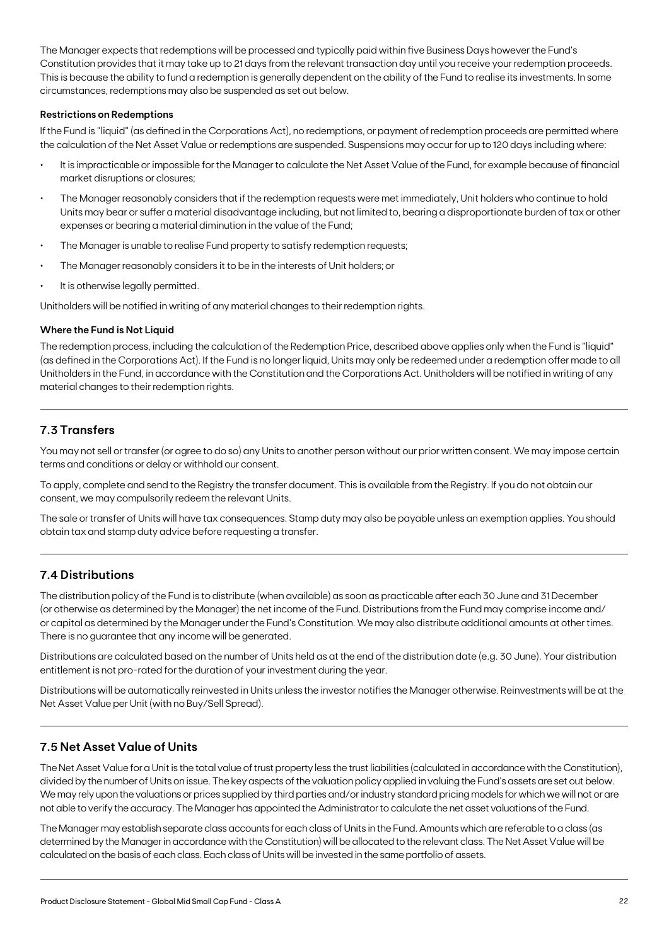The Manager expects that redemptions will be processed and typically paid within five Business Days however the Fund's Constitution provides that it may take up to 21 days from the relevant transaction day until you receive your redemption proceeds. This is because the ability to fund a redemption is generally dependent on the ability of the Fund to realise its investments. In some circumstances, redemptions may also be suspended as set out below.

#### **Restrictions on Redemptions**

If the Fund is "liquid" (as defined in the Corporations Act), no redemptions, or payment of redemption proceeds are permitted where the calculation of the Net Asset Value or redemptions are suspended. Suspensions may occur for up to 120 days including where:

- It is impracticable or impossible for the Manager to calculate the Net Asset Value of the Fund, for example because of financial market disruptions or closures;
- The Manager reasonably considers that if the redemption requests were met immediately, Unit holders who continue to hold Units may bear or suffer a material disadvantage including, but not limited to, bearing a disproportionate burden of tax or other expenses or bearing a material diminution in the value of the Fund;
- The Manager is unable to realise Fund property to satisfy redemption requests;
- The Manager reasonably considers it to be in the interests of Unit holders; or
- It is otherwise legally permitted.

Unitholders will be notified in writing of any material changes to their redemption rights.

#### **Where the Fund is Not Liquid**

The redemption process, including the calculation of the Redemption Price, described above applies only when the Fund is "liquid" (as defined in the Corporations Act). If the Fund is no longer liquid, Units may only be redeemed under a redemption offer made to all Unitholders in the Fund, in accordance with the Constitution and the Corporations Act. Unitholders will be notified in writing of any material changes to their redemption rights.

# **7.3 Transfers**

You may not sell or transfer (or agree to do so) any Units to another person without our prior written consent. We may impose certain terms and conditions or delay or withhold our consent.

To apply, complete and send to the Registry the transfer document. This is available from the Registry. If you do not obtain our consent, we may compulsorily redeem the relevant Units.

The sale or transfer of Units will have tax consequences. Stamp duty may also be payable unless an exemption applies. You should obtain tax and stamp duty advice before requesting a transfer.

### **7.4 Distributions**

The distribution policy of the Fund is to distribute (when available) as soon as practicable after each 30 June and 31 December (or otherwise as determined by the Manager) the net income of the Fund. Distributions from the Fund may comprise income and/ or capital as determined by the Manager under the Fund's Constitution. We may also distribute additional amounts at other times. There is no guarantee that any income will be generated.

Distributions are calculated based on the number of Units held as at the end of the distribution date (e.g. 30 June). Your distribution entitlement is not pro-rated for the duration of your investment during the year.

Distributions will be automatically reinvested in Units unless the investor notifies the Manager otherwise. Reinvestments will be at the Net Asset Value per Unit (with no Buy/Sell Spread).

# **7.5 Net Asset Value of Units**

The Net Asset Value for a Unit is the total value of trust property less the trust liabilities (calculated in accordance with the Constitution), divided by the number of Units on issue. The key aspects of the valuation policy applied in valuing the Fund's assets are set out below. We may rely upon the valuations or prices supplied by third parties and/or industry standard pricing models for which we will not or are not able to verify the accuracy. The Manager has appointed the Administrator to calculate the net asset valuations of the Fund.

The Manager may establish separate class accounts for each class of Units in the Fund. Amounts which are referable to a class (as determined by the Manager in accordance with the Constitution) will be allocated to the relevant class. The Net Asset Value will be calculated on the basis of each class. Each class of Units will be invested in the same portfolio of assets.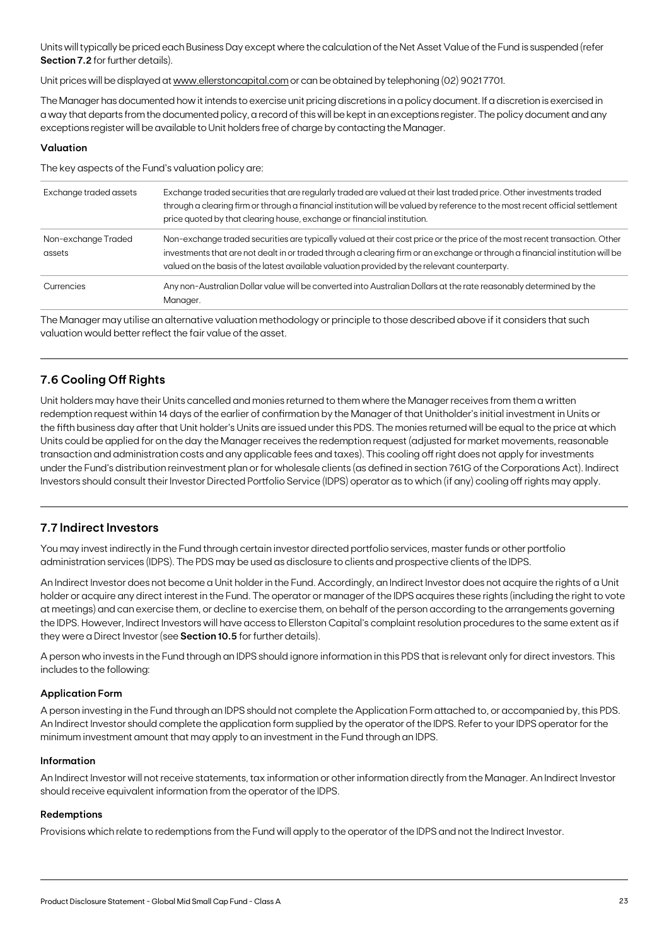Units will typically be priced each Business Day except where the calculation of the Net Asset Value of the Fund is suspended (refer **Section 7.2** for further details).

Unit prices will be displayed at [www.ellerstoncapital.com](http://www.ellerstoncapital.com) or can be obtained by telephoning (02) 90217701.

The Manager has documented how it intends to exercise unit pricing discretions in a policy document. If a discretion is exercised in a way that departs from the documented policy, a record of this will be kept in an exceptions register. The policy document and any exceptions register will be available to Unit holders free of charge by contacting the Manager.

### **Valuation**

The key aspects of the Fund's valuation policy are:

| Exchange traded assets        | Exchange traded securities that are regularly traded are valued at their last traded price. Other investments traded<br>through a clearing firm or through a financial institution will be valued by reference to the most recent official settlement<br>price quoted by that clearing house, exchange or financial institution.                            |
|-------------------------------|-------------------------------------------------------------------------------------------------------------------------------------------------------------------------------------------------------------------------------------------------------------------------------------------------------------------------------------------------------------|
| Non-exchange Traded<br>assets | Non-exchange traded securities are typically valued at their cost price or the price of the most recent transaction. Other<br>investments that are not dealt in or traded through a clearing firm or an exchange or through a financial institution will be<br>valued on the basis of the latest available valuation provided by the relevant counterparty. |
| Currencies                    | Any non-Australian Dollar value will be converted into Australian Dollars at the rate reasonably determined by the<br>Manager.                                                                                                                                                                                                                              |

The Manager may utilise an alternative valuation methodology or principle to those described above if it considers that such valuation would better reflect the fair value of the asset.

# **7.6 Cooling Off Rights**

Unit holders may have their Units cancelled and monies returned to them where the Manager receives from them a written redemption request within 14 days of the earlier of confirmation by the Manager of that Unitholder's initial investment in Units or the fifth business day after that Unit holder's Units are issued under this PDS. The monies returned will be equal to the price at which Units could be applied for on the day the Manager receives the redemption request (adjusted for market movements, reasonable transaction and administration costs and any applicable fees and taxes). This cooling off right does not apply for investments under the Fund's distribution reinvestment plan or for wholesale clients (as defined in section 761G of the Corporations Act). Indirect Investors should consult their Investor Directed Portfolio Service (IDPS) operator as to which (if any) cooling off rights may apply.

# **7.7 Indirect Investors**

You may invest indirectly in the Fund through certain investor directed portfolio services, master funds or other portfolio administration services (IDPS). The PDS may be used as disclosure to clients and prospective clients of the IDPS.

An Indirect Investor does not become a Unit holder in the Fund. Accordingly, an Indirect Investor does not acquire the rights of a Unit holder or acquire any direct interest in the Fund. The operator or manager of the IDPS acquires these rights (including the right to vote at meetings) and can exercise them, or decline to exercise them, on behalf of the person according to the arrangements governing the IDPS. However, Indirect Investors will have access to Ellerston Capital's complaint resolution procedures to the same extent as if they were a Direct Investor (see **Section 10.5** for further details).

A person who invests in the Fund through an IDPS should ignore information in this PDS that is relevant only for direct investors. This includes to the following:

#### **Application Form**

A person investing in the Fund through an IDPS should not complete the Application Form attached to, or accompanied by, this PDS. An Indirect Investor should complete the application form supplied by the operator of the IDPS. Refer to your IDPS operator for the minimum investment amount that may apply to an investment in the Fund through an IDPS.

#### **Information**

An Indirect Investor will not receive statements, tax information or other information directly from the Manager. An Indirect Investor should receive equivalent information from the operator of the IDPS.

#### **Redemptions**

Provisions which relate to redemptions from the Fund will apply to the operator of the IDPS and not the Indirect Investor.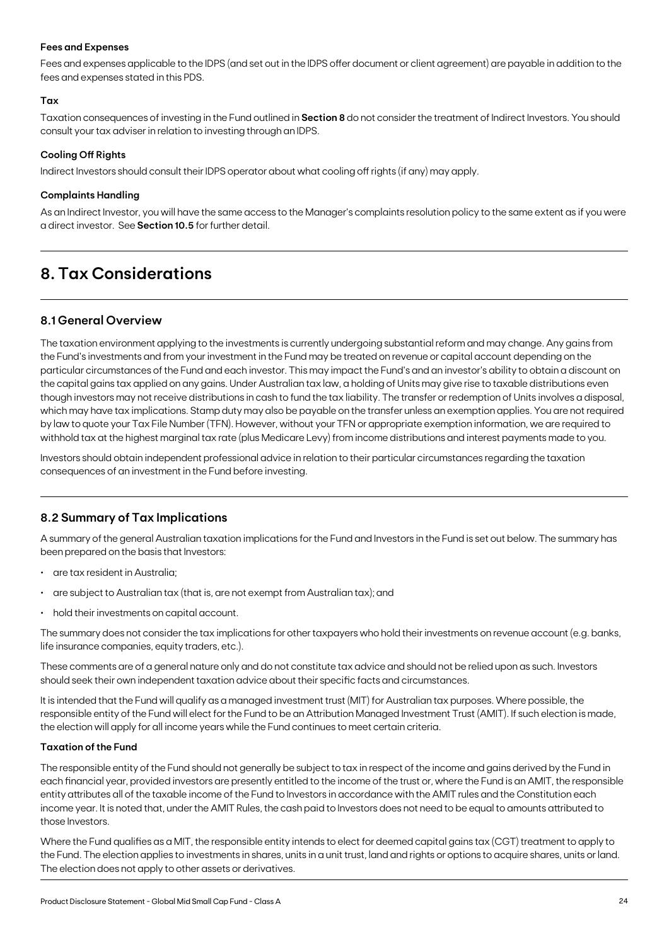#### **Fees and Expenses**

Fees and expenses applicable to the IDPS (and set out in the IDPS offer document or client agreement) are payable in addition to the fees and expenses stated in this PDS.

#### **Tax**

Taxation consequences of investing in the Fund outlined in **Section 8** do not consider the treatment of Indirect Investors. You should consult your tax adviser in relation to investing through an IDPS.

#### **Cooling Off Rights**

Indirect Investors should consult their IDPS operator about what cooling off rights (if any) may apply.

#### **Complaints Handling**

As an Indirect Investor, you will have the same access to the Manager's complaints resolution policy to the same extent as if you were a direct investor. See **Section 10.5** for further detail.

# **8. Tax Considerations**

### **8.1 General Overview**

The taxation environment applying to the investments is currently undergoing substantial reform and may change. Any gains from the Fund's investments and from your investment in the Fund may be treated on revenue or capital account depending on the particular circumstances of the Fund and each investor. This may impact the Fund's and an investor's ability to obtain a discount on the capital gains tax applied on any gains. Under Australian tax law, a holding of Units may give rise to taxable distributions even though investors may not receive distributions in cash to fund the tax liability. The transfer or redemption of Units involves a disposal, which may have tax implications. Stamp duty may also be payable on the transfer unless an exemption applies. You are not required by law to quote your Tax File Number (TFN). However, without your TFN or appropriate exemption information, we are required to withhold tax at the highest marginal tax rate (plus Medicare Levy) from income distributions and interest payments made to you.

Investors should obtain independent professional advice in relation to their particular circumstances regarding the taxation consequences of an investment in the Fund before investing.

### **8.2 Summary of Tax Implications**

A summary of the general Australian taxation implications for the Fund and Investors in the Fund is set out below. The summary has been prepared on the basis that Investors:

- are tax resident in Australia;
- are subject to Australian tax (that is, are not exempt from Australian tax); and
- hold their investments on capital account.

The summary does not consider the tax implications for other taxpayers who hold their investments on revenue account (e.g. banks, life insurance companies, equity traders, etc.).

These comments are of a general nature only and do not constitute tax advice and should not be relied upon as such. Investors should seek their own independent taxation advice about their specific facts and circumstances.

It is intended that the Fund will qualify as a managed investment trust (MIT) for Australian tax purposes. Where possible, the responsible entity of the Fund will elect for the Fund to be an Attribution Managed Investment Trust (AMIT). If such election is made, the election will apply for all income years while the Fund continues to meet certain criteria.

#### **Taxation of the Fund**

The responsible entity of the Fund should not generally be subject to tax in respect of the income and gains derived by the Fund in each financial year, provided investors are presently entitled to the income of the trust or, where the Fund is an AMIT, the responsible entity attributes all of the taxable income of the Fund to Investors in accordance with the AMIT rules and the Constitution each income year. It is noted that, under the AMIT Rules, the cash paid to Investors does not need to be equal to amounts attributed to those Investors.

Where the Fund qualifies as a MIT, the responsible entity intends to elect for deemed capital gains tax (CGT) treatment to apply to the Fund. The election applies to investments in shares, units in a unit trust, land and rights or options to acquire shares, units or land. The election does not apply to other assets or derivatives.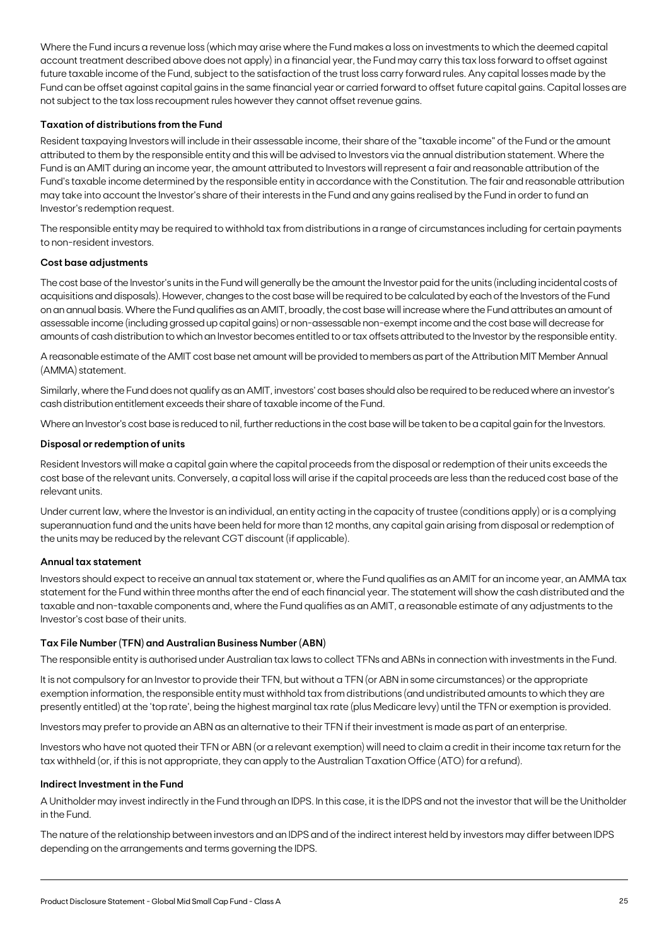Where the Fund incurs a revenue loss (which may arise where the Fund makes a loss on investments to which the deemed capital account treatment described above does not apply) in a financial year, the Fund may carry this tax loss forward to offset against future taxable income of the Fund, subject to the satisfaction of the trust loss carry forward rules. Any capital losses made by the Fund can be offset against capital gains in the same financial year or carried forward to offset future capital gains. Capital losses are not subject to the tax loss recoupment rules however they cannot offset revenue gains.

#### **Taxation of distributions from the Fund**

Resident taxpaying Investors will include in their assessable income, their share of the "taxable income" of the Fund or the amount attributed to them by the responsible entity and this will be advised to Investors via the annual distribution statement. Where the Fund is an AMIT during an income year, the amount attributed to Investors will represent a fair and reasonable attribution of the Fund's taxable income determined by the responsible entity in accordance with the Constitution. The fair and reasonable attribution may take into account the Investor's share of their interests in the Fund and any gains realised by the Fund in order to fund an Investor's redemption request.

The responsible entity may be required to withhold tax from distributions in a range of circumstances including for certain payments to non-resident investors.

#### **Cost base adjustments**

The cost base of the Investor's units in the Fund will generally be the amount the Investor paid for the units (including incidental costs of acquisitions and disposals). However, changes to the cost base will be required to be calculated by each of the Investors of the Fund on an annual basis. Where the Fund qualifies as an AMIT, broadly, the cost base will increase where the Fund attributes an amount of assessable income (including grossed up capital gains) or non-assessable non-exempt income and the cost base will decrease for amounts of cash distribution to which an Investor becomes entitled to or tax offsets attributed to the Investor by the responsible entity.

A reasonable estimate of the AMIT cost base net amount will be provided to members as part of the Attribution MIT Member Annual (AMMA) statement.

Similarly, where the Fund does not qualify as an AMIT, investors' cost bases should also be required to be reduced where an investor's cash distribution entitlement exceeds their share of taxable income of the Fund.

Where an Investor's cost base is reduced to nil, further reductions in the cost base will be taken to be a capital gain for the Investors.

#### **Disposal or redemption of units**

Resident Investors will make a capital gain where the capital proceeds from the disposal or redemption of their units exceeds the cost base of the relevant units. Conversely, a capital loss will arise if the capital proceeds are less than the reduced cost base of the relevant units.

Under current law, where the Investor is an individual, an entity acting in the capacity of trustee (conditions apply) or is a complying superannuation fund and the units have been held for more than 12 months, any capital gain arising from disposal or redemption of the units may be reduced by the relevant CGT discount (if applicable).

#### **Annual tax statement**

Investors should expect to receive an annual tax statement or, where the Fund qualifies as an AMIT for an income year, an AMMA tax statement for the Fund within three months after the end of each financial year. The statement will show the cash distributed and the taxable and non-taxable components and, where the Fund qualifies as an AMIT, a reasonable estimate of any adjustments to the Investor's cost base of their units.

#### **Tax File Number (TFN) and Australian Business Number (ABN)**

The responsible entity is authorised under Australian tax laws to collect TFNs and ABNs in connection with investments in the Fund.

It is not compulsory for an Investor to provide their TFN, but without a TFN (or ABN in some circumstances) or the appropriate exemption information, the responsible entity must withhold tax from distributions (and undistributed amounts to which they are presently entitled) at the 'top rate', being the highest marginal tax rate (plus Medicare levy) until the TFN or exemption is provided.

Investors may prefer to provide an ABN as an alternative to their TFN if their investment is made as part of an enterprise.

Investors who have not quoted their TFN or ABN (or a relevant exemption) will need to claim a credit in their income tax return for the tax withheld (or, if this is not appropriate, they can apply to the Australian Taxation Office (ATO) for a refund).

#### **Indirect Investment in the Fund**

A Unitholder may invest indirectly in the Fund through an IDPS. In this case, it is the IDPS and not the investor that will be the Unitholder in the Fund.

The nature of the relationship between investors and an IDPS and of the indirect interest held by investors may differ between IDPS depending on the arrangements and terms governing the IDPS.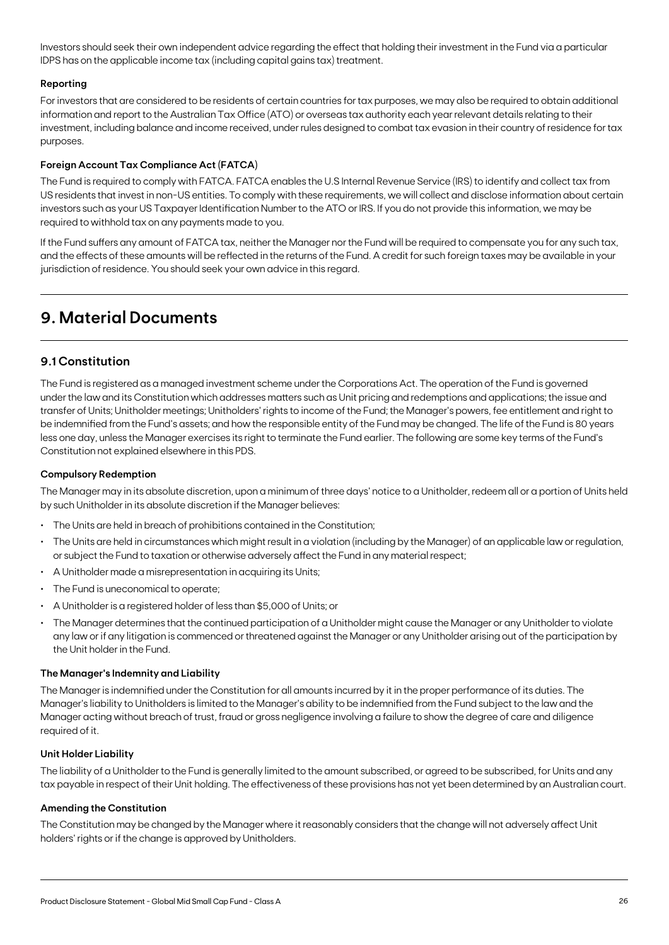Investors should seek their own independent advice regarding the effect that holding their investment in the Fund via a particular IDPS has on the applicable income tax (including capital gains tax) treatment.

### **Reporting**

For investors that are considered to be residents of certain countries for tax purposes, we may also be required to obtain additional information and report to the Australian Tax Office (ATO) or overseas tax authority each year relevant details relating to their investment, including balance and income received, under rules designed to combat tax evasion in their country of residence for tax purposes.

### **Foreign Account Tax Compliance Act (FATCA)**

The Fund is required to comply with FATCA. FATCA enables the U.S Internal Revenue Service (IRS) to identify and collect tax from US residents that invest in non-US entities. To comply with these requirements, we will collect and disclose information about certain investors such as your US Taxpayer Identification Number to the ATO or IRS. If you do not provide this information, we may be required to withhold tax on any payments made to you.

If the Fund suffers any amount of FATCA tax, neither the Manager nor the Fund will be required to compensate you for any such tax, and the effects of these amounts will be reflected in the returns of the Fund. A credit for such foreign taxes may be available in your jurisdiction of residence. You should seek your own advice in this regard.

# **9. Material Documents**

# **9.1 Constitution**

The Fund is registered as a managed investment scheme under the Corporations Act. The operation of the Fund is governed under the law and its Constitution which addresses matters such as Unit pricing and redemptions and applications; the issue and transfer of Units; Unitholder meetings; Unitholders' rights to income of the Fund; the Manager's powers, fee entitlement and right to be indemnified from the Fund's assets; and how the responsible entity of the Fund may be changed. The life of the Fund is 80 years less one day, unless the Manager exercises its right to terminate the Fund earlier. The following are some key terms of the Fund's Constitution not explained elsewhere in this PDS.

#### **Compulsory Redemption**

The Manager may in its absolute discretion, upon a minimum of three days' notice to a Unitholder, redeem all or a portion of Units held by such Unitholder in its absolute discretion if the Manager believes:

- The Units are held in breach of prohibitions contained in the Constitution;
- The Units are held in circumstances which might result in a violation (including by the Manager) of an applicable law or regulation, or subject the Fund to taxation or otherwise adversely affect the Fund in any material respect;
- A Unitholder made a misrepresentation in acquiring its Units;
- The Fund is uneconomical to operate;
- A Unitholder is a registered holder of less than \$5,000 of Units; or
- The Manager determines that the continued participation of a Unitholder might cause the Manager or any Unitholder to violate any law or if any litigation is commenced or threatened against the Manager or any Unitholder arising out of the participation by the Unit holder in the Fund.

#### **The Manager's Indemnity and Liability**

The Manager is indemnified under the Constitution for all amounts incurred by it in the proper performance of its duties. The Manager's liability to Unitholders is limited to the Manager's ability to be indemnified from the Fund subject to the law and the Manager acting without breach of trust, fraud or gross negligence involving a failure to show the degree of care and diligence required of it.

#### **Unit Holder Liability**

The liability of a Unitholder to the Fund is generally limited to the amount subscribed, or agreed to be subscribed, for Units and any tax payable in respect of their Unit holding. The effectiveness of these provisions has not yet been determined by an Australian court.

#### **Amending the Constitution**

The Constitution may be changed by the Manager where it reasonably considers that the change will not adversely affect Unit holders' rights or if the change is approved by Unitholders.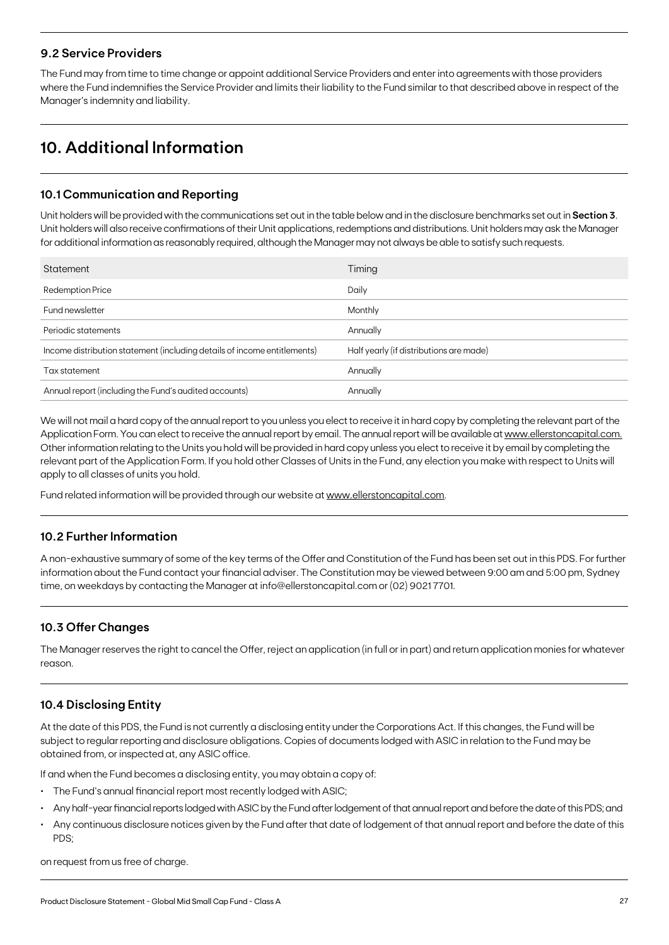### **9.2 Service Providers**

The Fund may from time to time change or appoint additional Service Providers and enter into agreements with those providers where the Fund indemnifies the Service Provider and limits their liability to the Fund similar to that described above in respect of the Manager's indemnity and liability.

# **10. Additional Information**

# **10.1 Communication and Reporting**

Unit holders will be provided with the communications set out in the table below and in the disclosure benchmarks set out in **Section 3**. Unit holders will also receive confirmations of their Unit applications, redemptions and distributions. Unit holders may ask the Manager for additional information as reasonably required, although the Manager may not always be able to satisfy such requests.

| Statement                                                                | Timing                                  |
|--------------------------------------------------------------------------|-----------------------------------------|
| <b>Redemption Price</b>                                                  | Daily                                   |
| Fund newsletter                                                          | <b>Monthly</b>                          |
| Periodic statements                                                      | Annually                                |
| Income distribution statement (including details of income entitlements) | Half yearly (if distributions are made) |
| Tax statement                                                            | Annually                                |
| Annual report (including the Fund's audited accounts)                    | Annually                                |

We will not mail a hard copy of the annual report to you unless you elect to receive it in hard copy by completing the relevant part of the Application Form. You can elect to receive the annual report by email. The annual report will be available at [www.ellerstoncapital.com.](http://www.ellerstoncapital.com.) Other information relating to the Units you hold will be provided in hard copy unless you elect to receive it by email by completing the relevant part of the Application Form. If you hold other Classes of Units in the Fund, any election you make with respect to Units will apply to all classes of units you hold.

Fund related information will be provided through our website at [www.ellerstoncapital.com](http://www.ellerstoncapital.com).

# **10.2 Further Information**

A non-exhaustive summary of some of the key terms of the Offer and Constitution of the Fund has been set out in this PDS. For further information about the Fund contact your financial adviser. The Constitution may be viewed between 9:00 am and 5:00 pm, Sydney time, on weekdays by contacting the Manager at info@ellerstoncapital.com or (02) 9021 7701.

# **10.3 Offer Changes**

The Manager reserves the right to cancel the Offer, reject an application (in full or in part) and return application monies for whatever reason.

# **10.4 Disclosing Entity**

At the date of this PDS, the Fund is not currently a disclosing entity under the Corporations Act. If this changes, the Fund will be subject to regular reporting and disclosure obligations. Copies of documents lodged with ASIC in relation to the Fund may be obtained from, or inspected at, any ASIC office.

If and when the Fund becomes a disclosing entity, you may obtain a copy of:

- The Fund's annual financial report most recently lodged with ASIC;
- Any half-year financial reports lodged with ASIC by the Fund after lodgement of that annual report and before the date of this PDS; and
- Any continuous disclosure notices given by the Fund after that date of lodgement of that annual report and before the date of this PDS;

on request from us free of charge.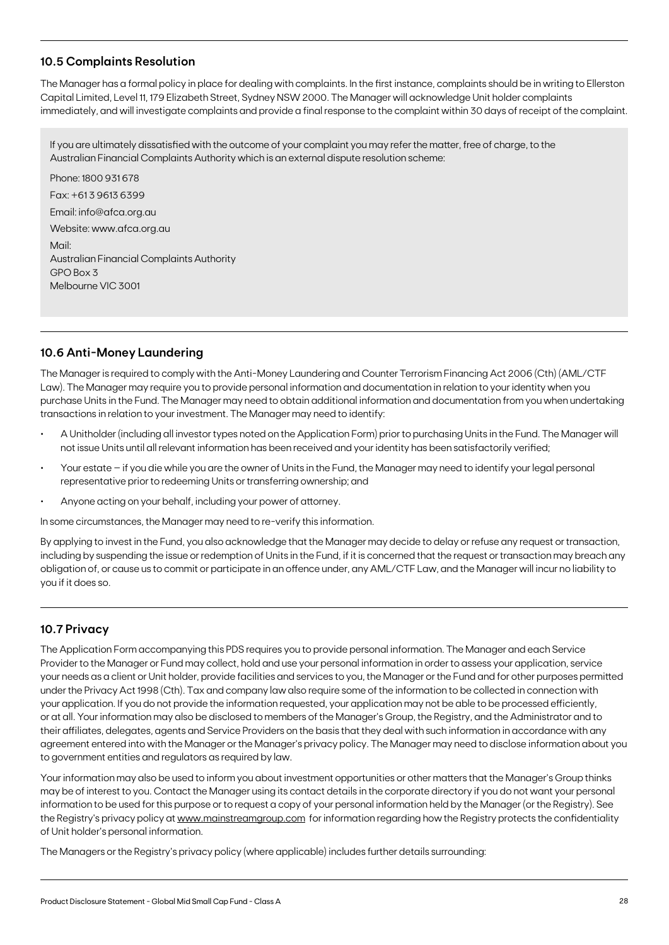# **10.5 Complaints Resolution**

The Manager has a formal policy in place for dealing with complaints. In the first instance, complaints should be in writing to Ellerston Capital Limited, Level 11, 179 Elizabeth Street, Sydney NSW 2000. The Manager will acknowledge Unit holder complaints immediately, and will investigate complaints and provide a final response to the complaint within 30 days of receipt of the complaint.

If you are ultimately dissatisfied with the outcome of your complaint you may refer the matter, free of charge, to the Australian Financial Complaints Authority which is an external dispute resolution scheme:

Phone: 1800 931 678 Fax: +61 3 9613 6399 Email: info@afca.org.au Website: www.afca.org.au Mail: Australian Financial Complaints Authority GPO Box 3 Melbourne VIC 3001

# **10.6 Anti-Money Laundering**

The Manager is required to comply with the Anti-Money Laundering and Counter Terrorism Financing Act 2006 (Cth) (AML/CTF Law). The Manager may require you to provide personal information and documentation in relation to your identity when you purchase Units in the Fund. The Manager may need to obtain additional information and documentation from you when undertaking transactions in relation to your investment. The Manager may need to identify:

- A Unitholder (including all investor types noted on the Application Form) prior to purchasing Units in the Fund. The Manager will not issue Units until all relevant information has been received and your identity has been satisfactorily verified;
- Your estate if you die while you are the owner of Units in the Fund, the Manager may need to identify your legal personal representative prior to redeeming Units or transferring ownership; and
- Anyone acting on your behalf, including your power of attorney.

In some circumstances, the Manager may need to re-verify this information.

By applying to invest in the Fund, you also acknowledge that the Manager may decide to delay or refuse any request or transaction, including by suspending the issue or redemption of Units in the Fund, if it is concerned that the request or transaction may breach any obligation of, or cause us to commit or participate in an offence under, any AML/CTF Law, and the Manager will incur no liability to you if it does so.

### **10.7 Privacy**

The Application Form accompanying this PDS requires you to provide personal information. The Manager and each Service Provider to the Manager or Fund may collect, hold and use your personal information in order to assess your application, service your needs as a client or Unit holder, provide facilities and services to you, the Manager or the Fund and for other purposes permitted under the Privacy Act 1998 (Cth). Tax and company law also require some of the information to be collected in connection with your application. If you do not provide the information requested, your application may not be able to be processed efficiently, or at all. Your information may also be disclosed to members of the Manager's Group, the Registry, and the Administrator and to their affiliates, delegates, agents and Service Providers on the basis that they deal with such information in accordance with any agreement entered into with the Manager or the Manager's privacy policy. The Manager may need to disclose information about you to government entities and regulators as required by law.

Your information may also be used to inform you about investment opportunities or other matters that the Manager's Group thinks may be of interest to you. Contact the Manager using its contact details in the corporate directory if you do not want your personal information to be used for this purpose or to request a copy of your personal information held by the Manager (or the Registry). See the Registry's privacy policy at [www.mainstreamgroup.com](http://www.mainstreamgroup.com) for information regarding how the Registry protects the confidentiality of Unit holder's personal information.

The Managers or the Registry's privacy policy (where applicable) includes further details surrounding: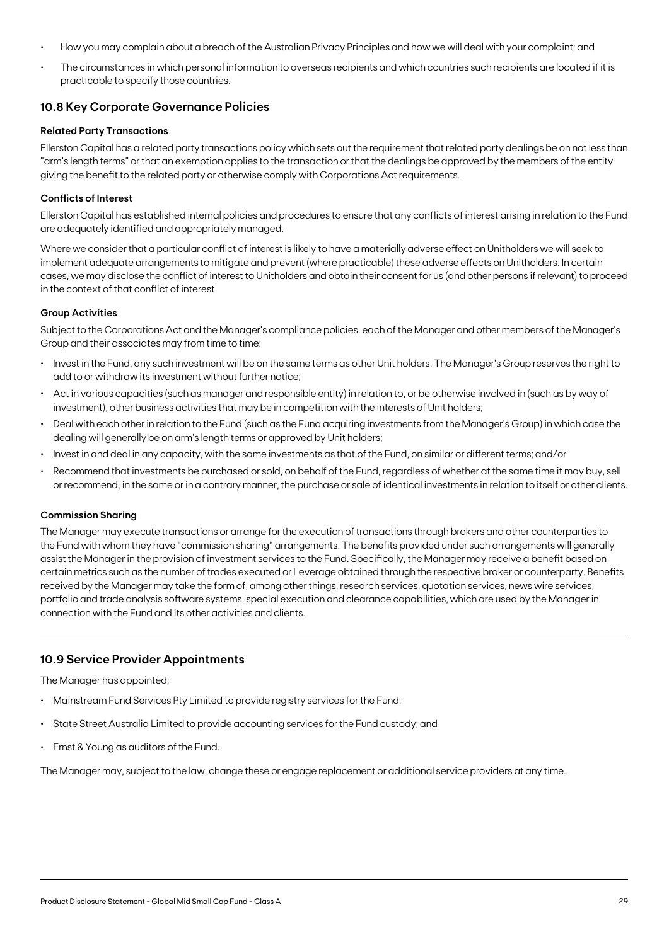- How you may complain about a breach of the Australian Privacy Principles and how we will deal with your complaint; and
- The circumstances in which personal information to overseas recipients and which countries such recipients are located if it is practicable to specify those countries.

### **10.8 Key Corporate Governance Policies**

#### **Related Party Transactions**

Ellerston Capital has a related party transactions policy which sets out the requirement that related party dealings be on not less than "arm's length terms" or that an exemption applies to the transaction or that the dealings be approved by the members of the entity giving the benefit to the related party or otherwise comply with Corporations Act requirements.

#### **Conflicts of Interest**

Ellerston Capital has established internal policies and procedures to ensure that any conflicts of interest arising in relation to the Fund are adequately identified and appropriately managed.

Where we consider that a particular conflict of interest is likely to have a materially adverse effect on Unitholders we will seek to implement adequate arrangements to mitigate and prevent (where practicable) these adverse effects on Unitholders. In certain cases, we may disclose the conflict of interest to Unitholders and obtain their consent for us (and other persons if relevant) to proceed in the context of that conflict of interest.

#### **Group Activities**

Subject to the Corporations Act and the Manager's compliance policies, each of the Manager and other members of the Manager's Group and their associates may from time to time:

- Invest in the Fund, any such investment will be on the same terms as other Unit holders. The Manager's Group reserves the right to add to or withdraw its investment without further notice;
- Act in various capacities (such as manager and responsible entity) in relation to, or be otherwise involved in (such as by way of investment), other business activities that may be in competition with the interests of Unit holders;
- Deal with each other in relation to the Fund (such as the Fund acquiring investments from the Manager's Group) in which case the dealing will generally be on arm's length terms or approved by Unit holders;
- Invest in and deal in any capacity, with the same investments as that of the Fund, on similar or different terms; and/or
- Recommend that investments be purchased or sold, on behalf of the Fund, regardless of whether at the same time it may buy, sell or recommend, in the same or in a contrary manner, the purchase or sale of identical investments in relation to itself or other clients.

#### **Commission Sharing**

The Manager may execute transactions or arrange for the execution of transactions through brokers and other counterparties to the Fund with whom they have "commission sharing" arrangements. The benefits provided under such arrangements will generally assist the Manager in the provision of investment services to the Fund. Specifically, the Manager may receive a benefit based on certain metrics such as the number of trades executed or Leverage obtained through the respective broker or counterparty. Benefits received by the Manager may take the form of, among other things, research services, quotation services, news wire services, portfolio and trade analysis software systems, special execution and clearance capabilities, which are used by the Manager in connection with the Fund and its other activities and clients.

### **10.9 Service Provider Appointments**

The Manager has appointed:

- Mainstream Fund Services Pty Limited to provide registry services for the Fund;
- State Street Australia Limited to provide accounting services for the Fund custody; and
- Ernst & Young as auditors of the Fund.

The Manager may, subject to the law, change these or engage replacement or additional service providers at any time.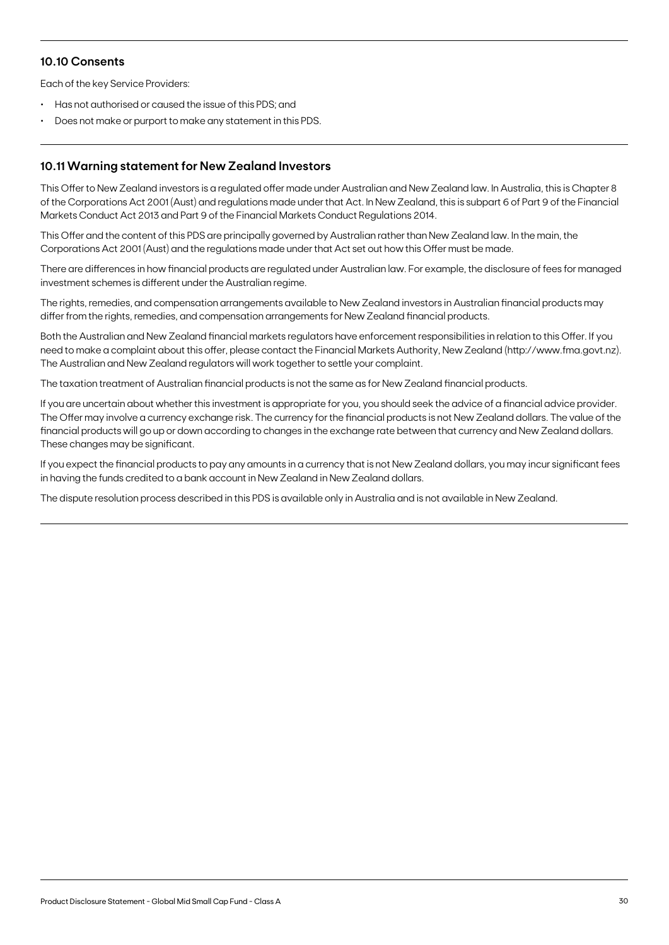## **10.10 Consents**

Each of the key Service Providers:

- Has not authorised or caused the issue of this PDS; and
- Does not make or purport to make any statement in this PDS.

## **10.11 Warning statement for New Zealand Investors**

This Offer to New Zealand investors is a regulated offer made under Australian and New Zealand law. In Australia, this is Chapter 8 of the Corporations Act 2001 (Aust) and regulations made under that Act. In New Zealand, this is subpart 6 of Part 9 of the Financial Markets Conduct Act 2013 and Part 9 of the Financial Markets Conduct Regulations 2014.

This Offer and the content of this PDS are principally governed by Australian rather than New Zealand law. In the main, the Corporations Act 2001 (Aust) and the regulations made under that Act set out how this Offer must be made.

There are differences in how financial products are regulated under Australian law. For example, the disclosure of fees for managed investment schemes is different under the Australian regime.

The rights, remedies, and compensation arrangements available to New Zealand investors in Australian financial products may differ from the rights, remedies, and compensation arrangements for New Zealand financial products.

Both the Australian and New Zealand financial markets regulators have enforcement responsibilities in relation to this Offer. If you need to make a complaint about this offer, please contact the Financial Markets Authority, New Zealand (http://www.fma.govt.nz). The Australian and New Zealand regulators will work together to settle your complaint.

The taxation treatment of Australian financial products is not the same as for New Zealand financial products.

If you are uncertain about whether this investment is appropriate for you, you should seek the advice of a financial advice provider. The Offer may involve a currency exchange risk. The currency for the financial products is not New Zealand dollars. The value of the financial products will go up or down according to changes in the exchange rate between that currency and New Zealand dollars. These changes may be significant.

If you expect the financial products to pay any amounts in a currency that is not New Zealand dollars, you may incur significant fees in having the funds credited to a bank account in New Zealand in New Zealand dollars.

The dispute resolution process described in this PDS is available only in Australia and is not available in New Zealand.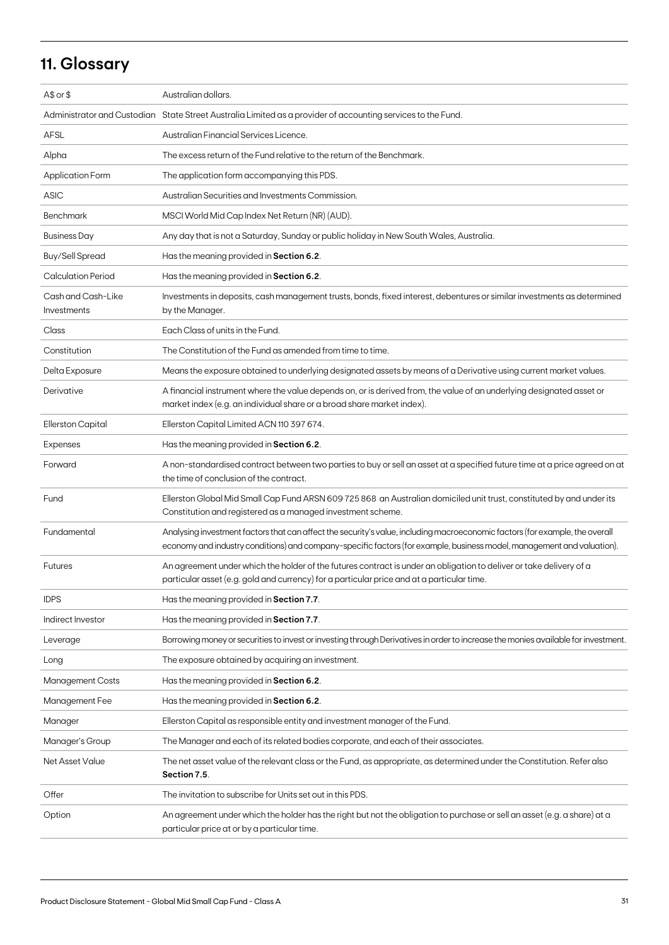# **11. Glossary**

| $A$$ or $$$                       | Australian dollars.                                                                                                                                                                                                                                    |
|-----------------------------------|--------------------------------------------------------------------------------------------------------------------------------------------------------------------------------------------------------------------------------------------------------|
|                                   | Administrator and Custodian State Street Australia Limited as a provider of accounting services to the Fund.                                                                                                                                           |
| AFSL                              | Australian Financial Services Licence.                                                                                                                                                                                                                 |
| Alpha                             | The excess return of the Fund relative to the return of the Benchmark.                                                                                                                                                                                 |
| Application Form                  | The application form accompanying this PDS.                                                                                                                                                                                                            |
| <b>ASIC</b>                       | Australian Securities and Investments Commission.                                                                                                                                                                                                      |
| <b>Benchmark</b>                  | MSCI World Mid Cap Index Net Return (NR) (AUD).                                                                                                                                                                                                        |
| <b>Business Day</b>               | Any day that is not a Saturday, Sunday or public holiday in New South Wales, Australia.                                                                                                                                                                |
| <b>Buy/Sell Spread</b>            | Has the meaning provided in Section 6.2.                                                                                                                                                                                                               |
| <b>Calculation Period</b>         | Has the meaning provided in Section 6.2.                                                                                                                                                                                                               |
| Cash and Cash-Like<br>Investments | Investments in deposits, cash management trusts, bonds, fixed interest, debentures or similar investments as determined<br>by the Manager.                                                                                                             |
| Class                             | Each Class of units in the Fund.                                                                                                                                                                                                                       |
| Constitution                      | The Constitution of the Fund as amended from time to time.                                                                                                                                                                                             |
| Delta Exposure                    | Means the exposure obtained to underlying designated assets by means of a Derivative using current market values.                                                                                                                                      |
| Derivative                        | A financial instrument where the value depends on, or is derived from, the value of an underlying designated asset or<br>market index (e.g. an individual share or a broad share market index).                                                        |
| Ellerston Capital                 | Ellerston Capital Limited ACN 110 397 674.                                                                                                                                                                                                             |
| Expenses                          | Has the meaning provided in Section 6.2.                                                                                                                                                                                                               |
| Forward                           | A non-standardised contract between two parties to buy or sell an asset at a specified future time at a price agreed on at<br>the time of conclusion of the contract.                                                                                  |
| Fund                              | Ellerston Global Mid Small Cap Fund ARSN 609 725 868 an Australian domiciled unit trust, constituted by and under its<br>Constitution and registered as a managed investment scheme.                                                                   |
| Fundamental                       | Analysing investment factors that can affect the security's value, including macroeconomic factors (for example, the overall<br>economy and industry conditions) and company-specific factors (for example, business model, management and valuation). |
| <b>Futures</b>                    | An agreement under which the holder of the futures contract is under an obligation to deliver or take delivery of a<br>particular asset (e.g. gold and currency) for a particular price and at a particular time.                                      |
| <b>IDPS</b>                       | Has the meaning provided in Section 7.7.                                                                                                                                                                                                               |
| Indirect Investor                 | Has the meaning provided in Section 7.7.                                                                                                                                                                                                               |
| Leverage                          | Borrowing money or securities to invest or investing through Derivatives in order to increase the monies available for investment.                                                                                                                     |
| Long                              | The exposure obtained by acquiring an investment.                                                                                                                                                                                                      |
| <b>Management Costs</b>           | Has the meaning provided in Section 6.2.                                                                                                                                                                                                               |
| Management Fee                    | Has the meaning provided in Section 6.2.                                                                                                                                                                                                               |
| Manager                           | Ellerston Capital as responsible entity and investment manager of the Fund.                                                                                                                                                                            |
| Manager's Group                   | The Manager and each of its related bodies corporate, and each of their associates.                                                                                                                                                                    |
| <b>Net Asset Value</b>            | The net asset value of the relevant class or the Fund, as appropriate, as determined under the Constitution. Refer also<br>Section 7.5.                                                                                                                |
| Offer                             | The invitation to subscribe for Units set out in this PDS.                                                                                                                                                                                             |
| Option                            | An agreement under which the holder has the right but not the obligation to purchase or sell an asset (e.g. a share) at a<br>particular price at or by a particular time.                                                                              |